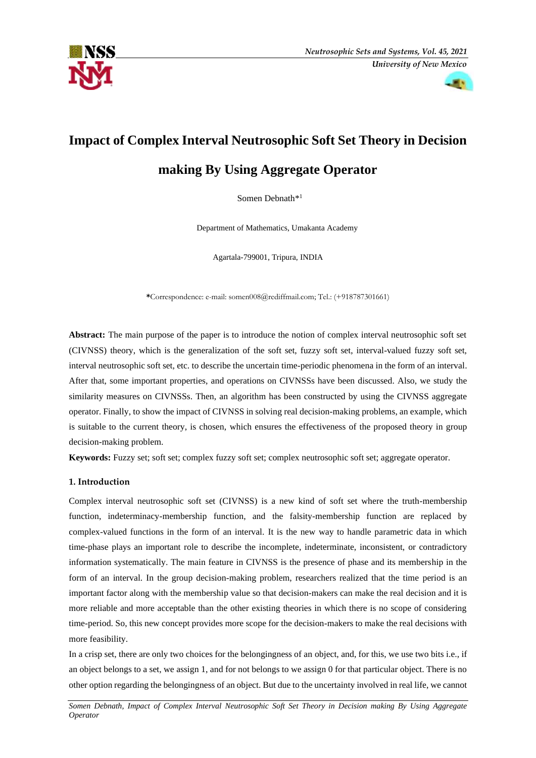



## **Impact of Complex Interval Neutrosophic Soft Set Theory in Decision**

### **making By Using Aggregate Operator**

Somen Debnath\*<sup>1</sup>

Department of Mathematics, Umakanta Academy

Agartala-799001, Tripura, INDIA

**\***Correspondence: e-mail: somen008@rediffmail.com; Tel.: (+918787301661)

**Abstract:** The main purpose of the paper is to introduce the notion of complex interval neutrosophic soft set (CIVNSS) theory, which is the generalization of the soft set, fuzzy soft set, interval-valued fuzzy soft set, interval neutrosophic soft set, etc. to describe the uncertain time-periodic phenomena in the form of an interval. After that, some important properties, and operations on CIVNSSs have been discussed. Also, we study the similarity measures on CIVNSSs. Then, an algorithm has been constructed by using the CIVNSS aggregate operator. Finally, to show the impact of CIVNSS in solving real decision-making problems, an example, which is suitable to the current theory, is chosen, which ensures the effectiveness of the proposed theory in group decision-making problem.

**Keywords:** Fuzzy set; soft set; complex fuzzy soft set; complex neutrosophic soft set; aggregate operator.

#### **1. Introduction**

Complex interval neutrosophic soft set (CIVNSS) is a new kind of soft set where the truth-membership function, indeterminacy-membership function, and the falsity-membership function are replaced by complex-valued functions in the form of an interval. It is the new way to handle parametric data in which time-phase plays an important role to describe the incomplete, indeterminate, inconsistent, or contradictory information systematically. The main feature in CIVNSS is the presence of phase and its membership in the form of an interval. In the group decision-making problem, researchers realized that the time period is an important factor along with the membership value so that decision-makers can make the real decision and it is more reliable and more acceptable than the other existing theories in which there is no scope of considering time-period. So, this new concept provides more scope for the decision-makers to make the real decisions with more feasibility.

In a crisp set, there are only two choices for the belongingness of an object, and, for this, we use two bits i.e., if an object belongs to a set, we assign 1, and for not belongs to we assign 0 for that particular object. There is no other option regarding the belongingness of an object. But due to the uncertainty involved in real life, we cannot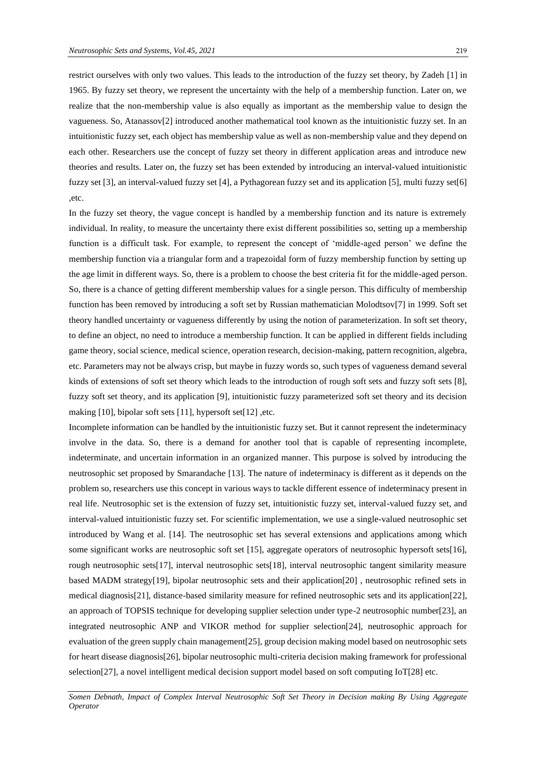restrict ourselves with only two values. This leads to the introduction of the fuzzy set theory, by Zadeh [1] in 1965. By fuzzy set theory, we represent the uncertainty with the help of a membership function. Later on, we realize that the non-membership value is also equally as important as the membership value to design the vagueness. So, Atanassov[2] introduced another mathematical tool known as the intuitionistic fuzzy set. In an intuitionistic fuzzy set, each object has membership value as well as non-membership value and they depend on each other. Researchers use the concept of fuzzy set theory in different application areas and introduce new theories and results. Later on, the fuzzy set has been extended by introducing an interval-valued intuitionistic fuzzy set [3], an interval-valued fuzzy set [4], a Pythagorean fuzzy set and its application [5], multi fuzzy set[6] ,etc.

In the fuzzy set theory, the vague concept is handled by a membership function and its nature is extremely individual. In reality, to measure the uncertainty there exist different possibilities so, setting up a membership function is a difficult task. For example, to represent the concept of 'middle-aged person' we define the membership function via a triangular form and a trapezoidal form of fuzzy membership function by setting up the age limit in different ways. So, there is a problem to choose the best criteria fit for the middle-aged person. So, there is a chance of getting different membership values for a single person. This difficulty of membership function has been removed by introducing a soft set by Russian mathematician Molodtsov[7] in 1999. Soft set theory handled uncertainty or vagueness differently by using the notion of parameterization. In soft set theory, to define an object, no need to introduce a membership function. It can be applied in different fields including game theory, social science, medical science, operation research, decision-making, pattern recognition, algebra, etc. Parameters may not be always crisp, but maybe in fuzzy words so, such types of vagueness demand several kinds of extensions of soft set theory which leads to the introduction of rough soft sets and fuzzy soft sets [8], fuzzy soft set theory, and its application [9], intuitionistic fuzzy parameterized soft set theory and its decision making [10], bipolar soft sets [11], hypersoft set[12] ,etc.

Incomplete information can be handled by the intuitionistic fuzzy set. But it cannot represent the indeterminacy involve in the data. So, there is a demand for another tool that is capable of representing incomplete, indeterminate, and uncertain information in an organized manner. This purpose is solved by introducing the neutrosophic set proposed by Smarandache [13]. The nature of indeterminacy is different as it depends on the problem so, researchers use this concept in various ways to tackle different essence of indeterminacy present in real life. Neutrosophic set is the extension of fuzzy set, intuitionistic fuzzy set, interval-valued fuzzy set, and interval-valued intuitionistic fuzzy set. For scientific implementation, we use a single-valued neutrosophic set introduced by Wang et al. [14]. The neutrosophic set has several extensions and applications among which some significant works are neutrosophic soft set [15], aggregate operators of neutrosophic hypersoft sets[16], rough neutrosophic sets[17], interval neutrosophic sets[18], interval neutrosophic tangent similarity measure based MADM strategy[19], bipolar neutrosophic sets and their application[20] , neutrosophic refined sets in medical diagnosis[21], distance-based similarity measure for refined neutrosophic sets and its application[22], an approach of TOPSIS technique for developing supplier selection under type-2 neutrosophic number[23], an integrated neutrosophic ANP and VIKOR method for supplier selection[24], neutrosophic approach for evaluation of the green supply chain management[25], group decision making model based on neutrosophic sets for heart disease diagnosis[26], bipolar neutrosophic multi-criteria decision making framework for professional selection[27], a novel intelligent medical decision support model based on soft computing IoT[28] etc.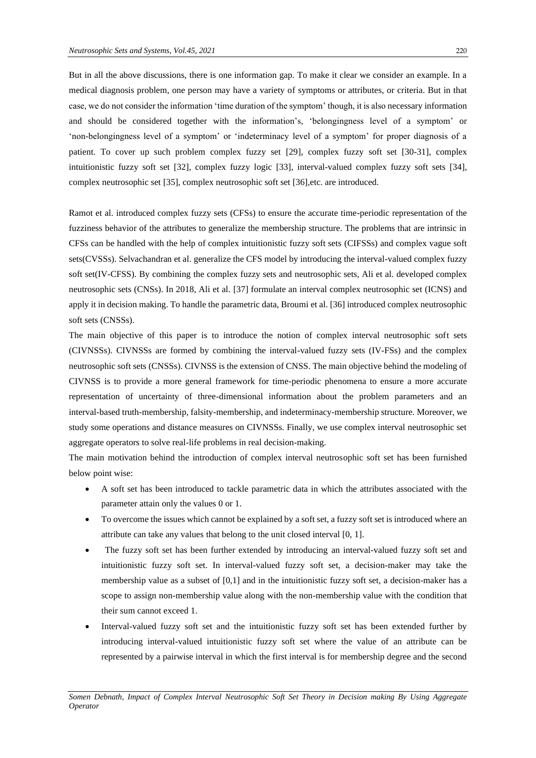But in all the above discussions, there is one information gap. To make it clear we consider an example. In a medical diagnosis problem, one person may have a variety of symptoms or attributes, or criteria. But in that case, we do not consider the information 'time duration of the symptom' though, it is also necessary information and should be considered together with the information's, 'belongingness level of a symptom' or 'non-belongingness level of a symptom' or 'indeterminacy level of a symptom' for proper diagnosis of a patient. To cover up such problem complex fuzzy set [29], complex fuzzy soft set [30-31], complex intuitionistic fuzzy soft set [32], complex fuzzy logic [33], interval-valued complex fuzzy soft sets [34], complex neutrosophic set [35], complex neutrosophic soft set [36],etc. are introduced.

Ramot et al. introduced complex fuzzy sets (CFSs) to ensure the accurate time-periodic representation of the fuzziness behavior of the attributes to generalize the membership structure. The problems that are intrinsic in CFSs can be handled with the help of complex intuitionistic fuzzy soft sets (CIFSSs) and complex vague soft sets(CVSSs). Selvachandran et al. generalize the CFS model by introducing the interval-valued complex fuzzy soft set(IV-CFSS). By combining the complex fuzzy sets and neutrosophic sets, Ali et al. developed complex neutrosophic sets (CNSs). In 2018, Ali et al. [37] formulate an interval complex neutrosophic set (ICNS) and apply it in decision making. To handle the parametric data, Broumi et al. [36] introduced complex neutrosophic soft sets (CNSSs).

The main objective of this paper is to introduce the notion of complex interval neutrosophic soft sets (CIVNSSs). CIVNSSs are formed by combining the interval-valued fuzzy sets (IV-FSs) and the complex neutrosophic soft sets (CNSSs). CIVNSS is the extension of CNSS. The main objective behind the modeling of CIVNSS is to provide a more general framework for time-periodic phenomena to ensure a more accurate representation of uncertainty of three-dimensional information about the problem parameters and an interval-based truth-membership, falsity-membership, and indeterminacy-membership structure. Moreover, we study some operations and distance measures on CIVNSSs. Finally, we use complex interval neutrosophic set aggregate operators to solve real-life problems in real decision-making.

The main motivation behind the introduction of complex interval neutrosophic soft set has been furnished below point wise:

- A soft set has been introduced to tackle parametric data in which the attributes associated with the parameter attain only the values 0 or 1.
- To overcome the issues which cannot be explained by a soft set, a fuzzy soft set is introduced where an attribute can take any values that belong to the unit closed interval [0, 1].
- The fuzzy soft set has been further extended by introducing an interval-valued fuzzy soft set and intuitionistic fuzzy soft set. In interval-valued fuzzy soft set, a decision-maker may take the membership value as a subset of [0,1] and in the intuitionistic fuzzy soft set, a decision-maker has a scope to assign non-membership value along with the non-membership value with the condition that their sum cannot exceed 1.
- Interval-valued fuzzy soft set and the intuitionistic fuzzy soft set has been extended further by introducing interval-valued intuitionistic fuzzy soft set where the value of an attribute can be represented by a pairwise interval in which the first interval is for membership degree and the second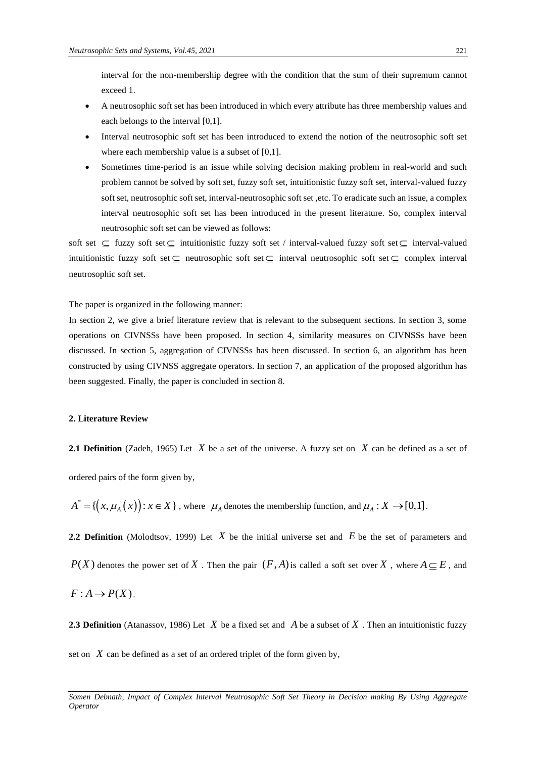interval for the non-membership degree with the condition that the sum of their supremum cannot exceed 1.

- A neutrosophic soft set has been introduced in which every attribute has three membership values and each belongs to the interval [0,1].
- Interval neutrosophic soft set has been introduced to extend the notion of the neutrosophic soft set where each membership value is a subset of [0,1].
- Sometimes time-period is an issue while solving decision making problem in real-world and such problem cannot be solved by soft set, fuzzy soft set, intuitionistic fuzzy soft set, interval-valued fuzzy soft set, neutrosophic soft set, interval-neutrosophic soft set, etc. To eradicate such an issue, a complex interval neutrosophic soft set has been introduced in the present literature. So, complex interval neutrosophic soft set can be viewed as follows:

soft set  $\subseteq$  fuzzy soft set  $\subseteq$  intuitionistic fuzzy soft set / interval-valued fuzzy soft set  $\subseteq$  interval-valued intuitionistic fuzzy soft set  $\subseteq$  neutrosophic soft set  $\subseteq$  interval neutrosophic soft set  $\subseteq$  complex interval neutrosophic soft set.

The paper is organized in the following manner:

In section 2, we give a brief literature review that is relevant to the subsequent sections. In section 3, some operations on CIVNSSs have been proposed. In section 4, similarity measures on CIVNSSs have been discussed. In section 5, aggregation of CIVNSSs has been discussed. In section 6, an algorithm has been constructed by using CIVNSS aggregate operators. In section 7, an application of the proposed algorithm has been suggested. Finally, the paper is concluded in section 8.

#### **2. Literature Review**

**2.1 Definition** (Zadeh, 1965) Let  $X$  be a set of the universe. A fuzzy set on  $X$  can be defined as a set of

ordered pairs of the form given by,

 $A^* = \{ (x, \mu_A(x)) : x \in X \}$ , where  $\mu_A$  denotes the membership function, and  $\mu_A : X \to [0,1]$ .

**2.2 Definition** (Molodtsov, 1999) Let  $X$  be the initial universe set and  $E$  be the set of parameters and

 $P(X)$  denotes the power set of X. Then the pair  $(F, A)$  is called a soft set over X, where  $A \subseteq E$ , and

$$
F: A \to P(X).
$$

**2.3 Definition** (Atanassov, 1986) Let  $X$  be a fixed set and  $A$  be a subset of  $X$ . Then an intuitionistic fuzzy

set on  $X$  can be defined as a set of an ordered triplet of the form given by,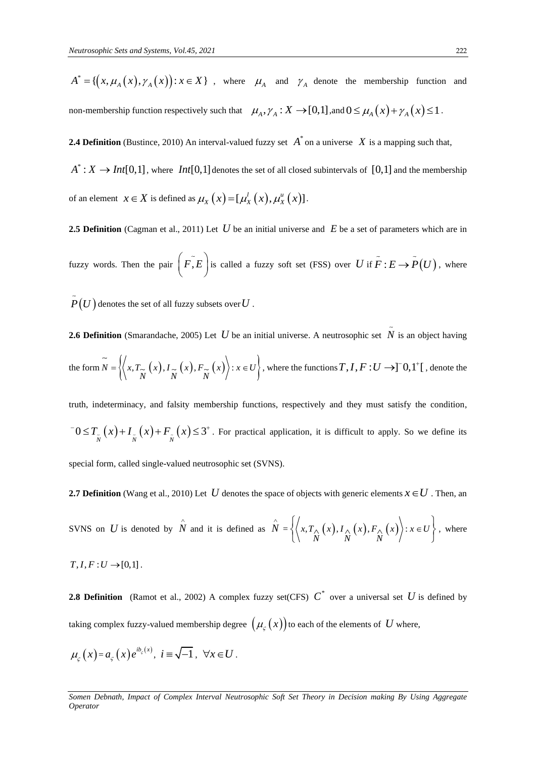$$
A^* = \{ (x, \mu_A(x), \gamma_A(x)) : x \in X \}
$$
, where  $\mu_A$  and  $\gamma_A$  denote the membership function and  
non-membreship function respectively such that  $\mu_A, \gamma_A : X \to [0,1]$ , and  $0 \le \mu_A(x) + \gamma_A(x) \le 1$ .

**2.4 Definition** (Bustince, 2010) An interval-valued fuzzy set  $A^*$  on a universe X is a mapping such that,

 $A^*: X \to Int[0,1]$ , where  $Int[0,1]$  denotes the set of all closed subintervals of  $[0,1]$  and the membership of an element  $x \in X$  is defined as  $\mu_X(x) = [\mu_X^l(x), \mu_X^u(x)]$ .

2.5 Definition (Cagman et al., 2011) Let U be an initial universe and E be a set of parameters which are in fuzzy words. Then the pair  $(F, E)$  is called a fuzzy soft set (FSS) over U if  $F : E \to P(U)$ , where

 $P\big(U\big)$  denotes the set of all fuzzy subsets over  $U$  .

**2.6 Definition** (Smarandache, 2005) Let *U* be an initial universe. A neutrosophic set *N* is an object having the form  $\widetilde{N} = \left\{ \left\langle x, T_{\widetilde{N}}(x), I_{\widetilde{N}}(x), F_{\widetilde{N}}(x) \right\rangle : x \in U \right\}$ , where the functions  $T, I, F: U \to ][0,1^+]$ , denote the

*A*<sup>\*</sup> = { $(x, \mu_A(x), \gamma_A(x))$ <br>
non-membership function res<br>
2.4 Definition (Bustince, 201<br> *A*<sup>\*</sup> : *X* → *Int*[0,1], where<br>
of an element  $x \in X$  is defin<br>
2.5 Definition (Cagman et al<br>
fuzzy words. Then the pair<br>  $\overline{P}(U)$  d truth, indeterminacy, and falsity membership functions, respectively and they must satisfy the condition,  $T_0 \leq T_{\tilde{N}}(x) + I_{\tilde{N}}(x) + F_{\tilde{N}}(x) \leq 3^+$ . For practical application, it is difficult to apply. So we define its

special form, called single-valued neutrosophic set (SVNS).

**2.7 Definition** (Wang et al., 2010) Let  $U$  denotes the space of objects with generic elements  $x \in U$  . Then, an

SVNS on  $U$  is denoted by  $\hat{\stackrel{\wedge}{N}}$ and it is defined as  $\hat{N} = \left\{ \left\langle x, T_{\Lambda_n}(x), I_{\Lambda_n}(x), F_{\Lambda_n}(x) \right\rangle : x \in U \right\}$  $\hat{N}_N(x)$ ,  $I_{\stackrel{\wedge}{N}}(x)$ ,  $F_{\stackrel{\wedge}{N}}(x)$  $\sum_{\Delta x} (x)$ ,  $I_{\Delta x} (x)$ ,  $F_{\Delta x} (x)$ :  $x \in$  $\left\{\left\langle x, T_{\underset{\textstyle N}{\wedge}}(x), I_{\underset{\textstyle N}{\wedge}}(x), F_{\underset{\textstyle N}{\wedge}}(x) \right\rangle : x \in U \right\}$ , wh , where

 $T, I, F: U \rightarrow [0,1]$ .

**2.8 Definition** (Ramot et al., 2002) A complex fuzzy set(CFS)  $C^*$  over a universal set U is defined by taking complex fuzzy-valued membership degree  $\big(\mu_{\varsigma}\left(x\right)\big)$  to each of the elements of  $\,U$  where,

$$
\mu_{\varsigma}\left(x\right) = a_{\varsigma}\left(x\right)e^{ib_{\varsigma}\left(x\right)}, \ i \equiv \sqrt{-1}, \ \forall x \in U.
$$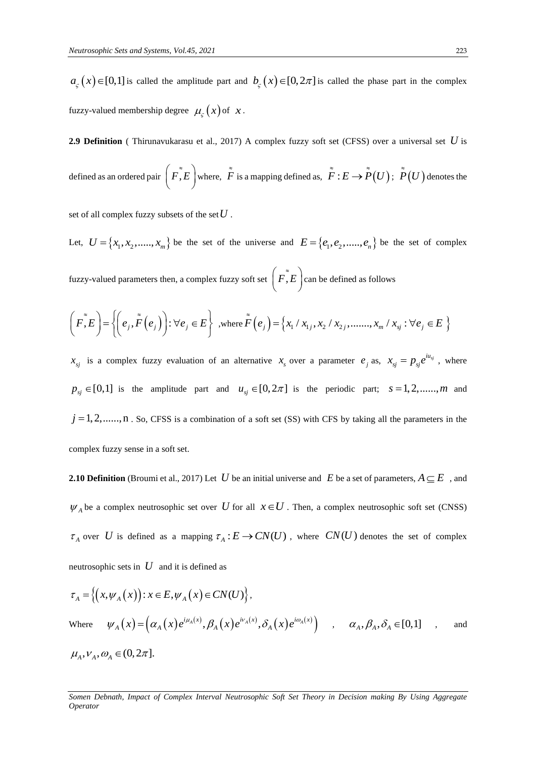$a_{\varsigma}(x) \in [0,1]$  is called the amplitude part and  $b_{\varsigma}(x) \in [0,2\pi]$  is called the phase part in the complex fuzzy-valued membership degree  $\mu_{\zeta}(x)$  of x.

**2.9 Definition** ( Thirunavukarasu et al., 2017) A complex fuzzy soft set (CFSS) over a universal set *U* is

defined as an ordered pair 
$$
(\tilde{F}, E)
$$
 where,  $\tilde{F}$  is a mapping defined as,  $\tilde{F}: E \to \tilde{P}(U)$ ;  $\tilde{P}(U)$  denotes the

set of all complex fuzzy subsets of the set  $\bar{U}$  .

Let,  $U = \{x_1, x_2, \dots, x_m\}$  be the set of the universe and  $E = \{e_1, e_2, \dots, e_n\}$  be the set of complex

fuzzy-valued parameters then, a complex fuzzy soft set  $\left(F, \tilde{E}\right)$  can be defined as follows

$$
\left(\tilde{F}, E\right) = \left\{ \left(e_j, \tilde{F}\left(e_j\right)\right) : \forall e_j \in E \right\} \text{ ,where } \tilde{F}\left(e_j\right) = \left\{x_1 \mid x_{1j}, x_2 \mid x_{2j}, \dots, x_m \mid x_{sj} : \forall e_j \in E \right\}
$$

 $x_{sj}$  is a complex fuzzy evaluation of an alternative  $x_s$  over a parameter  $e_j$  as,  $x_{sj} = p_{sj}e^{iu_{sj}}$ , where  $p_{ij} \in [0,1]$  is the amplitude part and  $u_{ij} \in [0,2\pi]$  is the periodic part;  $s = 1,2,......,m$  and  $j = 1, 2, \ldots, n$ . So, CFSS is a combination of a soft set (SS) with CFS by taking all the parameters in the complex fuzzy sense in a soft set.

**2.10 Definition** (Broumi et al., 2017) Let U be an initial universe and E be a set of parameters,  $A \subseteq E$ , and  $\psi_A$  be a complex neutrosophic set over U for all  $x \in U$ . Then, a complex neutrosophic soft set (CNSS)  $\tau_A$  over U is defined as a mapping  $\tau_A : E \to CN(U)$ , where  $CN(U)$  denotes the set of complex neutrosophic sets in *U* and it is defined as

$$
\tau_A = \left\{ \left( x, \psi_A(x) \right) : x \in E, \psi_A(x) \in CN(U) \right\},
$$
\nWhere

\n
$$
\psi_A(x) = \left( \alpha_A(x) e^{i\mu_A(x)}, \beta_A(x) e^{i\nu_A(x)}, \delta_A(x) e^{i\omega_A(x)} \right) , \quad \alpha_A, \beta_A, \delta_A \in [0,1] , \text{ and}
$$
\n
$$
\mu_A, \nu_A, \omega_A \in (0, 2\pi].
$$

*Somen Debnath, Impact of Complex Interval Neutrosophic Soft Set Theory in Decision making By Using Aggregate Operator*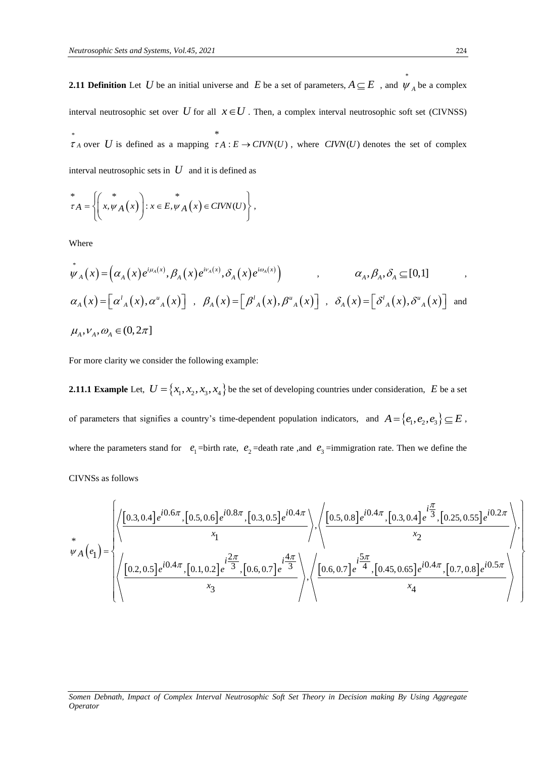**2.11 Definition** Let U be an initial universe and E be a set of parameters,  $A \subseteq E$ , and  $\psi_A$  be a complex interval neutrosophic set over U for all  $x \in U$ . Then, a complex interval neutrosophic soft set (CIVNSS) \*  $\tau_A$  over U is defined as a mapping \*  $\tau A : E \to \text{CIVN}(U)$ , where  $\text{CIVN}(U)$  denotes the set of complex interval neutrosophic sets in *U* and it is defined as

$$
\stackrel{*}{\tau}A = \left\{ \left( x, \psi_A(x) \right) : x \in E, \psi_A(x) \in CIVN(U) \right\},\
$$

Where

$$
\psi_{A}(x) = \left(\alpha_{A}(x)e^{i\mu_{A}(x)}, \beta_{A}(x)e^{i\nu_{A}(x)}, \delta_{A}(x)e^{i\omega_{A}(x)}\right) , \qquad \alpha_{A}, \beta_{A}, \delta_{A} \subseteq [0,1] ,
$$
  
\n
$$
\alpha_{A}(x) = \left[\alpha_{A}^{I}(x), \alpha_{A}^{u}(x)\right] , \quad \beta_{A}(x) = \left[\beta_{A}^{I}(x), \beta_{A}^{u}(x)\right] , \quad \delta_{A}(x) = \left[\delta_{A}^{I}(x), \delta_{A}^{u}(x)\right] ,
$$
  
\n
$$
\mu_{A}, \nu_{A}, \omega_{A} \in (0, 2\pi]
$$

For more clarity we consider the following example:

**2.11.1 Example** Let,  $U = \{x_1, x_2, x_3, x_4\}$  be the set of developing countries under consideration, E be a set of parameters that signifies a country's time-dependent population indicators, and  $A = \{e_1, e_2, e_3\} \subseteq E$ , where the parameters stand for  $e_1$ =birth rate,  $e_2$ =death rate, and  $e_3$ =immigration rate. Then we define the arameters stand for  $e_1$ =birth rate,  $e_2$ =death rate ,and  $e_3$ =immigration rate. Then we define the<br>follows<br> $\left(\frac{1}{10.3, 0.4}e^{i0.6\pi}, [0.5, 0.6]e^{i0.8\pi}, [0.3, 0.5]e^{i0.4\pi} \sqrt{(0.5, 0.8]e^{i0.4\pi}, [0.3, 0.4]e^{i\frac{\pi}{3}}, [0.2$ 

CIVNSs as follows

CIVNSs as follows  
\n
$$
\psi_{A}\left(e_{1}\right) = \left\{\left\langle \frac{\left[0.3,0.4\right]e^{i0.6\pi},\left[0.5,0.6\right]e^{i0.8\pi},\left[0.3,0.5\right]e^{i0.4\pi}}{x_{1}}\right\rangle, \left\langle \frac{\left[0.5,0.8\right]e^{i0.4\pi},\left[0.3,0.4\right]e^{i\frac{\pi}{3}},\left[0.25,0.55\right]e^{i0.2\pi}}{x_{2}}\right\rangle, \left\langle \frac{\left[0.2,0.5\right]e^{i0.4\pi},\left[0.1,0.2\right]e^{i\frac{2\pi}{3}},\left[0.6,0.7\right]e^{i\frac{4\pi}{3}}\right\rangle}{x_{3}}\right\rangle, \left\langle \frac{\left[0.6,0.7\right]e^{i\frac{5\pi}{4}},\left[0.45,0.65\right]e^{i0.4\pi},\left[0.7,0.8\right]e^{i0.5\pi}}{x_{4}}\right\rangle\right\}
$$

#### *Somen Debnath, Impact of Complex Interval Neutrosophic Soft Set Theory in Decision making By Using Aggregate Operator*

 $\left| \right|$  $\overline{\phantom{a}}$ 

\*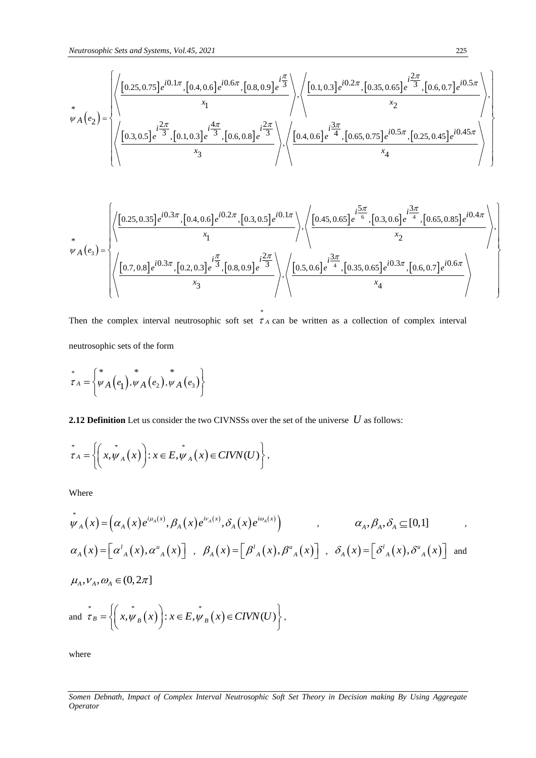$$
u_{\mu} = \begin{pmatrix} \frac{1}{25} & \frac{1}{25} \\ \frac{1}{25} & \frac{1}{25} \\ \frac{1}{25} & \frac{1}{25} \end{pmatrix} \begin{pmatrix} \frac{1}{25} & \frac{1}{25} \\ \frac{1}{25} & \frac{1}{25} \\ \frac{1}{25} & \frac{1}{25} \end{pmatrix} \begin{pmatrix} \frac{1}{25} & \frac{1}{25} \\ \frac{1}{25} & \frac{1}{25} \\ \frac{1}{25} & \frac{1}{25} \end{pmatrix} \begin{pmatrix} \frac{1}{25} & \frac{1}{25} \\ \frac{1}{25} & \frac{1}{25} \\ \frac{1}{25} & \frac{1}{25} \end{pmatrix} \begin{pmatrix} \frac{1}{25} & \frac{1}{25} \\ \frac{1}{25} & \frac{1}{25} \\ \frac{1}{25} & \frac{1}{25} \end{pmatrix} \begin{pmatrix} \frac{1}{25} & \frac{1}{25} \\ \frac{1}{25} & \frac{1}{25} \\ \frac{1}{25} & \frac{1}{25} \end{pmatrix} \begin{pmatrix} \frac{1}{25} & \frac{1}{25} \\ \frac{1}{25} & \frac{1}{25} \\ \frac{1}{25} & \frac{1}{25} \end{pmatrix} \begin{pmatrix} \frac{1}{25} & \frac{1}{25} \\ \frac{1}{25} & \frac{1}{25} \\ \frac{1}{25} & \frac{1}{25} \end{pmatrix} \begin{pmatrix} \frac{1}{25} & \frac{1}{25} \\ \frac{1}{25} & \frac{1}{25} \\ \frac{1}{25} & \frac{1}{25} \end{pmatrix} \begin{pmatrix} \frac{1}{25} & \frac{1}{25} \\ \frac{1}{25} & \frac{1}{25} \\ \frac{1}{25} & \frac{1}{25} \end{pmatrix} \begin{pmatrix} \frac{1}{25} & \frac{1}{25} \\ \frac{1}{25} & \frac{1}{25} \\ \frac{1}{25} & \frac{1}{25} \end{pmatrix} \begin{pmatrix} \frac{1}{25} & \frac{1}{25} \\ \frac{1}{25} & \frac{1}{
$$

$$
\psi_{A}(e_{3}) = \begin{cases}\n\left\{\frac{\left(0.25, 0.35\right]e^{i0.3\pi}, [0.4, 0.6]e^{i0.2\pi}, [0.3, 0.5]e^{i0.1\pi}}{x_{1}}\right\}, \left\{\frac{\left(0.45, 0.65\right)e^{i\frac{5\pi}{6}}, [0.3, 0.6]e^{i\frac{3\pi}{4}}, [0.65, 0.85]e^{i0.4\pi}}{x_{2}}\right\}, \frac{x_{3}}{x_{3}}\right\},\n\end{cases}
$$

Then the complex interval neutrosophic soft set  $\tau_A$  can be written as a collection of complex interval neutrosophic sets of the form

\*

$$
\overset{*}{\tau}_{A} = \left\{ \overset{*}{\psi}_{A} \left( e_{1} \right), \overset{*}{\psi}_{A} \left( e_{2} \right), \overset{*}{\psi}_{A} \left( e_{3} \right) \right\}
$$

**2.12 Definition** Let us consider the two CIVNSSs over the set of the universe *U* as follows:

$$
\stackrel{*}{\tau}_A = \left\{ \left( x, \stackrel{*}{\psi}_A(x) \right) : x \in E, \stackrel{*}{\psi}_A(x) \in CIVN(U) \right\},\
$$

Where

$$
\psi_A(x) = (\alpha_A(x)e^{i\mu_A(x)}, \beta_A(x)e^{i\nu_A(x)}, \delta_A(x)e^{i\omega_A(x)}) \qquad , \qquad \alpha_A, \beta_A, \delta_A \subseteq [0,1] \qquad ,
$$
  
\n
$$
\alpha_A(x) = [\alpha_A'(x), \alpha_A'(x)] \qquad , \quad \beta_A(x) = [\beta_A'(x), \beta_A'(x)] \qquad , \quad \delta_A(x) = [\delta_A'(x), \delta_A'(x)] \qquad ,
$$
  
\n
$$
\mu_A, \nu_A, \omega_A \in (0,2\pi]
$$
  
\nand  $\tau_B = \left\{ (x, \psi_B(x)) : x \in E, \psi_B(x) \in CIVN(U) \right\},$ 

where

*Somen Debnath, Impact of Complex Interval Neutrosophic Soft Set Theory in Decision making By Using Aggregate Operator*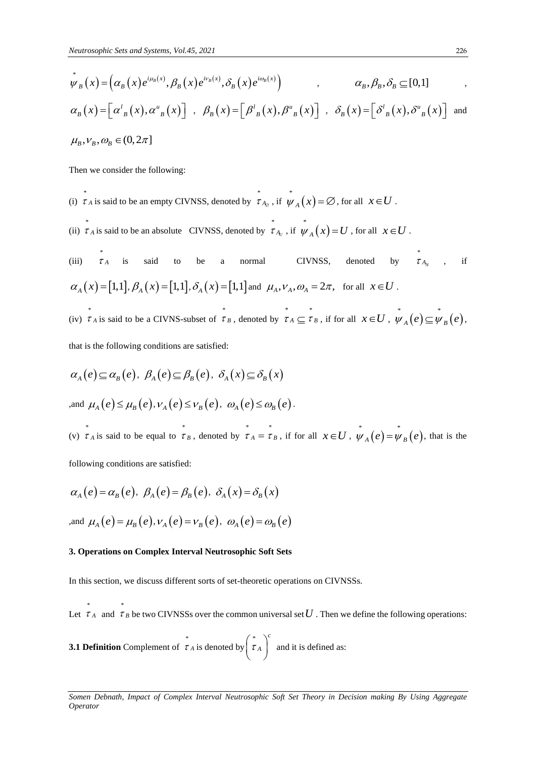$$
\psi_B(x) = \left(\alpha_B(x)e^{i\mu_B(x)}, \beta_B(x)e^{i\nu_B(x)}, \delta_B(x)e^{i\omega_B(x)}\right) , \qquad \alpha_B, \beta_B, \delta_B \subseteq [0,1] ,
$$
  
\n
$$
\alpha_B(x) = \left[\alpha^l_{B}(x), \alpha^u_{B}(x)\right] , \beta_B(x) = \left[\beta^l_{B}(x), \beta^u_{B}(x)\right] , \delta_B(x) = \left[\delta^l_{B}(x), \delta^u_{B}(x)\right] ,
$$
  
\n
$$
\mu_B, \nu_B, \omega_B \in (0, 2\pi]
$$

Then we consider the following:

- (i) \*  $\tau_A$  is said to be an empty CIVNSS, denoted by \*  $\int_{\tau_{A_{\varnothing}}}^{\pi}$ , if  $\psi_{A}(x) = \varnothing$ , for all  $x \in U$ .
- (ii) \*  $\tau_A$  is said to be an absolute CIVNSS, denoted by \*  $\int_{\tau_{A_U}}^{\tau}$ , if  $\psi_A(x) = U$ , for all  $x \in U$ .

 $(iii)$   $\tau_A$ \* is said to be a normal CIVNSS, denoted by \*  $\tau_{A_N}$ , if  $\alpha_A(x) = [1,1], \beta_A(x) = [1,1], \delta_A(x) = [1,1]$  and  $\mu_A, \nu_A, \omega_A = 2\pi$ , for all  $x \in U$ . (iv) \*  $\tau_A$  is said to be a CIVNS-subset of \*  $\tau_B$ , denoted by  $\tau_A \subseteq \tau$  $\sigma_B^*$ , if for all  $x \in U$ ,  $\psi_A(e) \subseteq \psi_B(e)$ ,

that is the following conditions are satisfied:

$$
\alpha_A(e) \subseteq \alpha_B(e), \ \beta_A(e) \subseteq \beta_B(e), \ \delta_A(x) \subseteq \delta_B(x)
$$
  
and 
$$
\mu_A(e) \le \mu_B(e), \nu_A(e) \le \nu_B(e), \ \omega_A(e) \le \omega_B(e).
$$

(v) \*  $\tau_A$  is said to be equal to \*  $\tau_B$ , denoted by  $\tau_A = \tau$  $\sigma_B^*$ , if for all  $x \in U$ ,  $\psi_A(e) = \psi_B(e)$ , that is the

following conditions are satisfied:

\*

\*

$$
\alpha_A(e) = \alpha_B(e), \ \beta_A(e) = \beta_B(e), \ \delta_A(x) = \delta_B(x)
$$
  
,and  $\mu_A(e) = \mu_B(e), \nu_A(e) = \nu_B(e), \ \omega_A(e) = \omega_B(e)$ 

#### **3. Operations on Complex Interval Neutrosophic Soft Sets**

In this section, we discuss different sorts of set-theoretic operations on CIVNSSs.

Let  $\tau_A$  and  $\tau_B$  be two CIVNSSs over the common universal set U. Then we define the following operations:

**3.1 Definition** Complement of \*  $\tau_A$  is denoted by \* *c*  $\tau_A$  $\begin{pmatrix} * \ \tau_A \end{pmatrix}$ and it is defined as: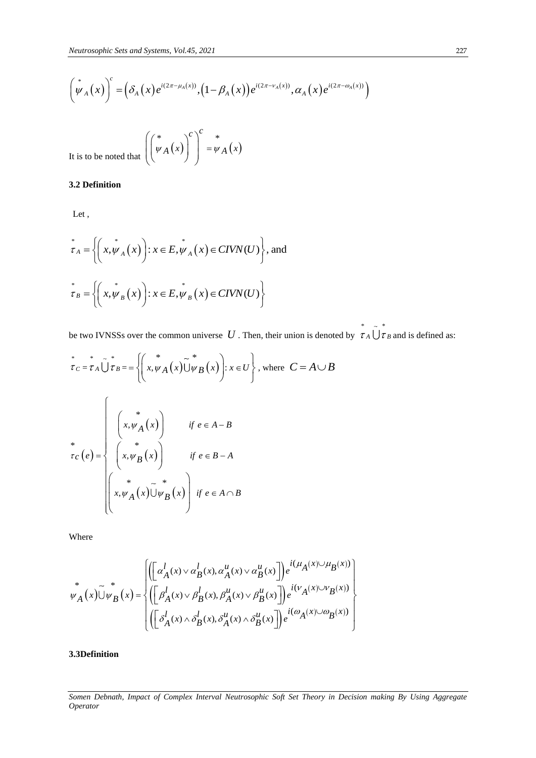*Neutrosophic Sets and Systems, Vol.45, 2021*  
\n
$$
\left(\stackrel{*}{\psi}_{A}(x)\right)^{c} = \left(\delta_{A}(x)e^{i(2\pi-\mu_{A}(x))}, \left(1-\beta_{A}(x)\right)e^{i(2\pi-\nu_{A}(x))}, \alpha_{A}(x)e^{i(2\pi-\omega_{A}(x))}\right)
$$

It is to be noted that 
$$
\left( \begin{pmatrix} * & * \\ \psi_A(x) \end{pmatrix}^c \right)^c = \psi_A(x)
$$

#### **3.2 Definition**

Let ,

$$
\tau_A = \left\{ \left( x, \psi_A(x) \right) : x \in E, \psi_A(x) \in CIVN(U) \right\}, \text{ and}
$$
\n
$$
\tau_B = \left\{ \left( x, \psi_B(x) \right) : x \in E, \psi_B(x) \in CIVN(U) \right\}
$$

be two IVNSSs over the common universe  $U$ . Then, their union is denoted by  $\tau_A \cup \tau_B$  and is defined as:

\* \*

$$
\left[\psi_A(x)\right] = \left(\delta_A(x)e^{i(2\pi - \mu_A(x))}, (1 - \beta_A(x))e^{i(2\pi - \mu_A(x))}, \alpha_A(x)e^{i(2\pi - \mu_A(x))}, \alpha_A(x)e^{i(2\pi - \mu_A(x))}, \alpha_A(x)e^{i(2\pi - \mu_A(x))}, \alpha_A(x)e^{i(2\pi - \mu_A(x))}
$$
\n3.2 Definition\n\nLet,\n
$$
\vec{r}_A = \left\{\left(x, \psi_A(x)\right): x \in E, \psi_A(x) \in CIVN(U)\right\}, \text{ and}
$$
\n
$$
\vec{r}_B = \left\{\left(x, \psi_B(x)\right): x \in E, \psi_B(x) \in CIVN(U)\right\}
$$
\nbe two IVNSS, over the common universe  $U$ . Then, their union is denote\n
$$
\vec{r}_C = \vec{r}_A \bigcup_{\sigma = B}^{\infty} \vec{r}_B = \left\{\left(x, \psi_A(x)\right) \forall B(x)\right: x \in U\right\}, \text{ where } C = A \cup B
$$
\n
$$
\vec{r}_C(e) = \left\{\begin{array}{ccc}\n\left(x, \psi_A(x)\right) & \text{if } e \in A - B \\
\left(x, \psi_B(x)\right) & \text{if } e \in B - A \\
\downarrow x, \psi_A(x) \bigcup_{\sigma = B}^{\infty} \vec{r}_B(x)\right\} & \text{if } e \in B - A\n\end{array}\right.
$$
\n\nWhere\n\n
$$
\psi_A(x) \bigcup \psi_B(x) = \left\{\left(\begin{bmatrix} \alpha_A^I(x) \vee \alpha_B^I(x), \alpha_A^H(x) \vee \alpha_B^H(x) \end{bmatrix}\right) e^{i(\mu_A(x) \cup \mu_B(x))}, \alpha_A^I(x) \bigcup_{\sigma = A}^{\infty} \vec{r}_A(x) \bigcup_{\sigma = A}^{\infty} \vec{r}_B(x) \right\}
$$
\n3.3Definition\n\n3.3Definition\n\n5.91 In (15.1)

Where

Where  
\n
$$
\psi_A(x)\tilde{\bigcup}\psi_B(x) = \begin{cases}\n\left( \left[ \alpha_A^l(x) \vee \alpha_B^l(x), \alpha_A^u(x) \vee \alpha_B^u(x) \right] \right) e^{i(\mu_A(x) \cup \mu_B(x))} \\
\left( \left[ \beta_A^l(x) \vee \beta_B^l(x), \beta_A^u(x) \vee \beta_B^u(x) \right] \right) e^{i(\nu_A(x) \cup \nu_B(x))} \\
\left( \left[ \delta_A^l(x) \wedge \delta_B^l(x), \delta_A^u(x) \wedge \delta_B^u(x) \right] \right) e^{i(\omega_A(x) \cup \omega_B(x))}\n\end{cases}
$$

**3.3Definition** 

*Somen Debnath, Impact of Complex Interval Neutrosophic Soft Set Theory in Decision making By Using Aggregate*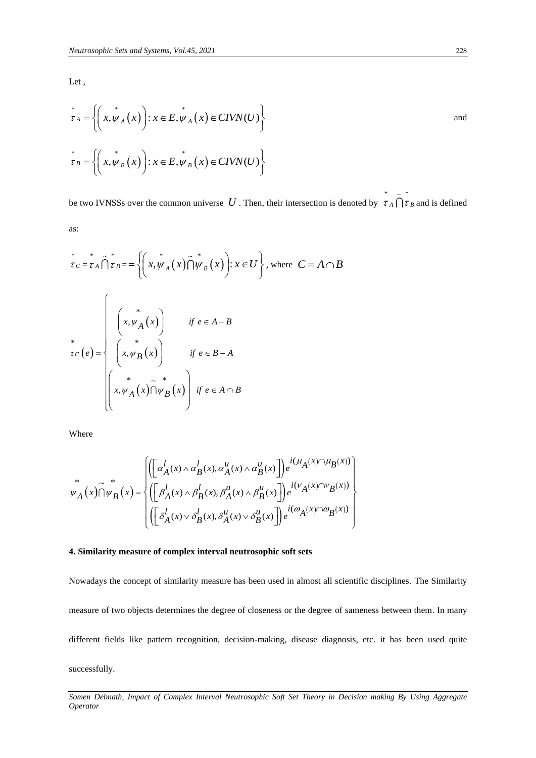Let ,

$$
\tau_A = \left\{ \left( x, \psi_A(x) \right) : x \in E, \psi_A(x) \in CIVN(U) \right\}
$$
\nand\n
$$
\tau_B = \left\{ \left( x, \psi_B(x) \right) : x \in E, \psi_B(x) \in CIVN(U) \right\}
$$

be two IVNSSs over the common universe  $U$ . Then, their intersection is denoted by \* \*  $\tau_A$   $\tau_B$  and is defined as:

$$
\vec{\tau}_C = \vec{\tau}_A \tilde{\bigcap} \dot{\tau}_B = = \left\{ \left( x, \psi_A(x) \tilde{\bigcap} \psi_B(x) \right) : x \in U \right\}, \text{ where } C = A \cap B
$$
\n
$$
\vec{\tau}_C(e) = \left\{ \begin{array}{ll} * & \text{if } e \in A - B \\ \begin{pmatrix} * & \text{if } e \in B - A \\ x, \psi_B(x) \end{pmatrix} & \text{if } e \in B - A \end{array} \right\}
$$

Where

Where  
\n
$$
\psi_A(x) \cap \psi_B(x) = \begin{cases}\n\left( \left[ \alpha_A^l(x) \wedge \alpha_B^l(x), \alpha_A^u(x) \wedge \alpha_B^u(x) \right] \right) e^{i(\mu_A(x) \cap \mu_B(x))} \\
\left( \left[ \beta_A^l(x) \wedge \beta_B^l(x), \beta_A^u(x) \wedge \beta_B^u(x) \right] \right) e^{i(\nu_A(x) \cap \nu_B(x))} \\
\left( \left[ \delta_A^l(x) \vee \delta_B^l(x), \delta_A^u(x) \vee \delta_B^u(x) \right] \right) e^{i(\omega_A(x) \cap \omega_B(x))}\n\end{cases}
$$

#### **4. Similarity measure of complex interval neutrosophic soft sets**

Nowadays the concept of similarity measure has been used in almost all scientific disciplines. The Similarity measure of two objects determines the degree of closeness or the degree of sameness between them. In many different fields like pattern recognition, decision-making, disease diagnosis, etc. it has been used quite successfully.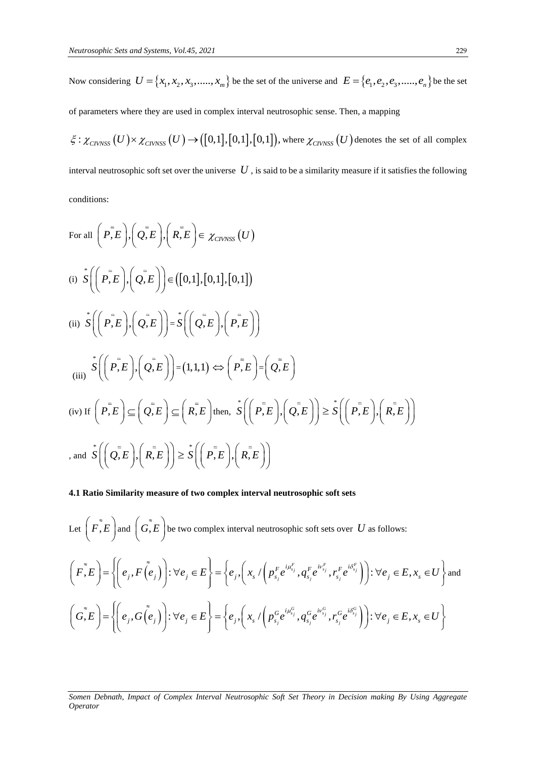Now considering  $U = \{x_1, x_2, x_3, \dots, x_m\}$  be the set of the universe and  $E = \{e_1, e_2, e_3, \dots, e_n\}$  be the set

of parameters where they are used in complex interval neutrosophic sense. Then, a mapping

 $\zeta : \chi_{\text{CIVNSS}}(U) \times \chi_{\text{CIVNSS}}(U) \rightarrow ([0,1],[0,1],[0,1]),$  where  $\chi_{\text{CIVNSS}}(U)$  denotes the set of all complex interval neutrosophic soft set over the universe  $|U|$ , is said to be a similarity measure if it satisfies the following conditions:

For all 
$$
\left(P, E\right), \left(Q, E\right), \left(R, E\right) \in \chi_{\text{CIVNSS}}(U)
$$
  
\n(i)  $\hat{S}\left(\left(P, E\right), \left(Q, E\right)\right) \in \left([0, 1], [0, 1], [0, 1]\right)$   
\n(ii)  $\hat{S}\left(\left(P, E\right), \left(Q, E\right)\right) = \hat{S}\left(\left(Q, E\right), \left(P, E\right)\right)$   
\n(iii)  $\hat{S}\left(\left(P, E\right), \left(Q, E\right)\right) = \hat{S}\left(\left(Q, E\right), \left(P, E\right)\right)$   
\n(iiii)  $\hat{S}\left(\left(P, E\right), \left(Q, E\right)\right) = (1, 1, 1) \Leftrightarrow \left(P, E\right) = \left(Q, E\right)$   
\n(iv) If  $\left(P, E\right) \subseteq \left(Q, E\right) \subseteq \left(R, E\right)$  then,  $\hat{S}\left(\left(P, E\right), \left(Q, E\right)\right) \ge \hat{S}\left(\left(P, E\right), \left(R, E\right)\right)$   
\n, and  $\hat{S}\left(\left(Q, E\right), \left(R, E\right)\right) \ge \hat{S}\left(\left(P, E\right), \left(R, E\right)\right)$ 

#### **4.1 Ratio Similarity measure of two complex interval neutrosophic soft sets**

Let  $\left(F, \tilde{E}\right)$  and  $\left(G, \tilde{E}\right)$  be two complex interval neutrosophic soft sets over  $|U|$  as follows:  $(F, E)$  and  $(G, E)$  be two complex interval neutrosophic soft sets over  $U$  as follows:<br>  $\tilde{E}, E$ ) = { $\left\{e_j, F(\tilde{e}_j)\right\}: \forall e_j \in E\right\} = \left\{e_j, \left(x_s / \left(p_{s_j}^{F}e^{i\mu_{s_j}^{F}}, q_{s_j}^{F}e^{i\nu_{s_j}^{F}}, r_{s_j}^{F}e^{i\delta_{s_j}^{F}}\right)\right): \forall e_j \in E,$  $\overline{f}_s^F, \overline{g}_s^F e^{i\mathcal{V}_{s_j}^F}, \overline{r}_s^F e^{i\delta_{s_j}^F}$ *jet*  $\left(F, E\right)$  and  $\left(G, E\right)$  be two complex interval neutrosophic soft sets over  $U$  as follows:<br> $F, E\left(F, E\right) = \left\{\left(e_j, F\left(\tilde{e}_j\right)\right): \forall e_j \in E\right\} = \left\{e_j, \left(x_s / \left(p_{s_j}^{F}e^{i\mu_{s_j}^{F}}, q_{s_j}^{F}e^{i\nu_{s_j}^{F}}, r_{s_j}^{F}e^{i\delta_{s_j}^{F$  $\left(\mu_{s_j}^F\right)_{s}$   $\left( \sigma^F e^{i\nu_{s_j}^F} \cdot r^F e^{i\delta_{s_j}^F} \right)\right)$  :  $\forall e$  $\approx$ Let  $\left(F, E\right)$  and  $\left(G, E\right)$  be two complex interval neutrosophic soft sets over  $U$  as follows:<br>  $\left(F, E\right) = \left\{ \left(e_j, F\left(e_j\right)\right) : \forall e_j \in E \right\} = \left\{ e_j, \left(x_s / \left(p_{s_j}^{F}e^{i\mu_{s_j}^F}, q_{s_j}^{F}e^{i\nu_{s_j}^F}, r_{s_j}^{F}e^{i\delta_{s_j}^F}\right)\right) : \$ and  $\begin{split} \mathcal{E}_i, E \left[ \mathcal{E}_i, F\left(e_j\right) \right]: \forall e_j \in E \right\} = \left\{ e_j, \left( x_s \mathop{/} \left( p_{s_j}^{r} e^{-s_j}, q_{s_j}^{r} e^{-s_j}, r_{s_j}^{r} e^{-s_j} \right) \right): \forall e_j \in E, \\ \left( e_j, G\left(e_j\right) \right): \forall e_j \in E \right\} = \left\{ e_j, \left( x_s \mathop{/} \left( p_{s_j}^{G} e^{i\mu_{s_j}^{G}}, q_{s_j}^{G} e^{i\nu_{s_j}^{G}}, r_{s_j}^{G} e$  $\epsilon^{G}_{s_j}, q^{G}_{s}e^{i\nu^{G}_{s_j}}, r^{G}_{s}e^{i\delta^{G}_{s_j}}$  $\begin{aligned} F, E \bigl] = \bigl\{ \biggl( e_j, F\bigl( e_j\bigr) \bigl) : \forall e_j \in E \bigr\} = \bigl\{ e_j, \bigl( x_s \mathop / \bigl( p_{s_j}^F e^{\mathop {\leftarrow} s_j}, q_{s_j}^F e^{\mathop {\leftarrow} s_j}, r_{s_j}^F e^{\mathop {\leftarrow} s_j} \bigr) \bigr) : \forall e_j \in E, x_s \in U \right\} \\ G, E \biggr) = \biggl\{ \biggl( e_j, G\bigl( e_j\bigr) \biggr) : \forall e_j \in E \bigr\} = \biggl\{ e_j, \biggl( x$  $\left( \mu_{s_j}^G \right)_{i=1} \sigma^G e^{i \nu_{s_j}^G} \cdot r^G e^{i \delta^G_{s_j}} \bigg) \bigg) \colon \forall e \in \mathbb{R}^d.$  $\approx$  $\left(F, E\right) = \left\{ \left(e_j, F\left(e_j\right)\right): \forall e_j \in E\right\} = \left\{e_j, \left(x_s / \left(p_{s_j}^{F}e^{i\mu_{s_j}^F}, q_{s_j}^{F}e^{i\nu_{s_j}^F}, r_{s_j}^{F}e^{i\delta_{s_j}^F}\right)\right): \forall e_j \in E, x_s \in U\right\}$  and<br>  $\left(G, E\right) = \left\{ \left(e_j, G\left(e_j\right)\right): \forall e_j \in E\right\} = \left\{e_j, \left(x_s / \left(p_{s_j}^{G}e^{i\mu_{s_j}^G}, q_{s$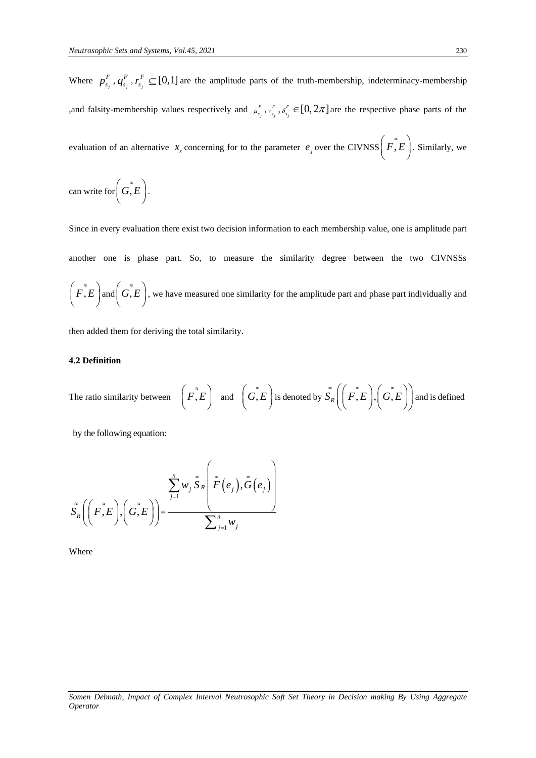Where  $p_{s_j}^r$  $p_{s_j}^F$  ,  $q_{s_j}^F$ *F*  $q_{s_j}^F$  ,  $r_{s_j}^F$ *F*  $r_{s_i}^F \subseteq [0,1]$  are the amplitude parts of the truth-membership, indeterminacy-membership , and falsity-membership values respectively and  $\mu$ <sup>r</sup>  $\mu_{s_j}^F$ ,  $\nu_{s_j}^F$  $v_{s_j}^F$  ,  $\delta_{s_j}^F$  $s_{s_j}^F \in [0, 2\pi]$  are the respective phase parts of the evaluation of an alternative  $x_s$  concerning for to the parameter  $e_j$  over the CIVNSS  $(F, E)$ . Similarly, we

can write for  $\left(G, E\right)$ .

Since in every evaluation there exist two decision information to each membership value, one is amplitude part another one is phase part. So, to measure the similarity degree between the two CIVNSSs  $(F, E)$  and  $(G, E)$ , we have measured one similarity for the amplitude part and phase part individually and

then added them for deriving the total similarity.

#### **4.2 Definition**

The ratio similarity between  $\left(F, E\right)$  and  $\left(G, E\right)$  is denoted by  $\tilde{S}_R\left(\left(F, E\right), \left(G, E\right)\right)$  and is defined

by the following equation:

$$
\tilde{S}_{R}\left(\left(F,\tilde{E}\right),\left(\tilde{G},E\right)\right)=\frac{\sum_{j=1}^{n}w_{j}\tilde{S}_{R}\left(\tilde{F}\left(e_{j}\right),\tilde{G}\left(e_{j}\right)\right)}{\sum_{j=1}^{n}w_{j}}
$$

Where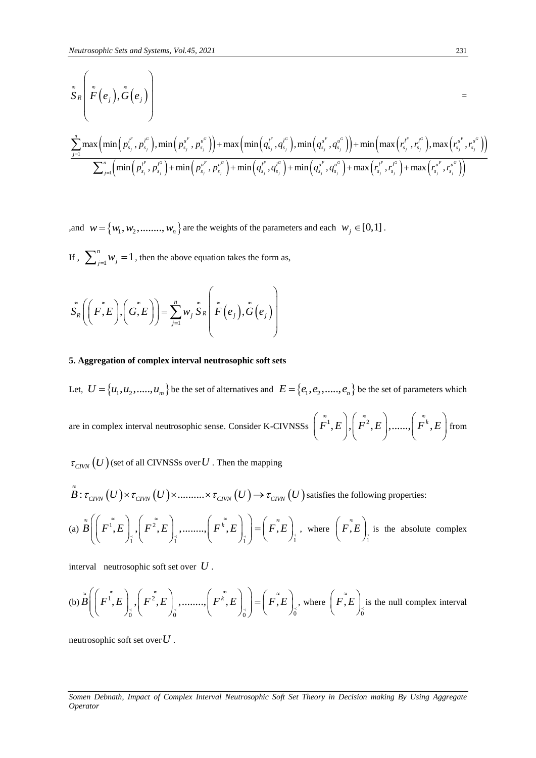$$
\begin{aligned} &\frac{\tilde{\bar{S}}_{R}\left(\tilde{\bar{F}}\left(e_{j}\right),\tilde{\bar{G}}\left(e_{j}\right)\right)}{\sum_{j=1}^{n}\max\left(\min\left(p_{s_{j}}^{l^{F}},p_{s_{j}}^{l^{G}}\right),\min\left(p_{s_{j}}^{u^{F}},p_{s_{j}}^{u^{G}}\right)\right)}+\max\left(\min\left(q_{s_{j}}^{l^{F}},q_{s_{j}}^{l^{G}}\right),\min\left(q_{s_{j}}^{u^{F}},q_{s_{j}}^{u^{G}}\right)\right)+\min\left(\max\left(r_{s_{j}}^{l^{F}},r_{s_{j}}^{l^{G}}\right),\max\left(r_{s_{j}}^{u^{F}},r_{s_{j}}^{u^{G}}\right)\right)}{\sum_{j=1}^{n}\left(\min\left(p_{s_{j}}^{l^{F}},p_{s_{j}}^{l^{G}}\right)+\min\left(p_{s_{j}}^{u^{F}},p_{s_{j}}^{u^{G}}\right)+\min\left(q_{s_{j}}^{l^{F}},q_{s_{j}}^{l^{G}}\right)+\min\left(q_{s_{j}}^{u^{F}},q_{s_{j}}^{u^{G}}\right)+\max\left(r_{s_{j}}^{l^{F}},r_{s_{j}}^{l^{G}}\right)\right)}\right)}\end{aligned}
$$

, and  $w = \{w_1, w_2, \dots, w_n\}$  are the weights of the parameters and each  $w_j \in [0,1]$ .

If,  $\sum_{j=1}^{n} w_j = 1$  $\sum_{j=1}^{n} w_j = 1$ , then the above equation takes the form as,

$$
\tilde{S}_{R}\left(\left(F,\tilde{F},E\right),\left(\tilde{G},E\right)\right)=\sum_{j=1}^{n}w_{j}\tilde{S}_{R}\left(\tilde{\tilde{F}}\left(e_{j}\right),\tilde{\tilde{G}}\left(e_{j}\right)\right)
$$

#### **5. Aggregation of complex interval neutrosophic soft sets**

Let,  $U = \{u_1, u_2, \ldots, u_m\}$  be the set of alternatives and  $E = \{e_1, e_2, \ldots, e_n\}$  be the set of parameters which are in complex interval neutrosophic sense. Consider K-CIVNSSs  $\left(\tilde{\vec{F}}^1, E\right), \left(\tilde{\vec{F}}^2, E\right),......\left(\tilde{\vec{F}}^k, E\right)$  $\left(\tilde{\vec{F}}^1, E\right), \left(\tilde{\vec{F}}^2, E\right), \dots, \left(\tilde{\vec{F}}^k, E\right)$  from from

$$
\tau_{\text{CIVN}}(U)
$$
 (set of all CIVNSSs over U. Then the mapping\n
$$
\tilde{B} : \tau_{\text{CIVN}}(U) \times \tau_{\text{CIVN}}(U) \times \dots \times \tau_{\text{CIVN}}(U) \to \tau_{\text{CIVN}}(U)
$$
 satisfies the following properties:

$$
B: \tau_{\text{CIVN}}(U) \times \tau_{\text{CIVN}}(U) \times \dots \times \tau_{\text{CIVN}}(U) \to \tau_{\text{CIVN}}(U) \text{ satisfies the following properties:}
$$
\n
$$
\text{(a) } \tilde{B}\left(\left(F^{\tilde{1}}, E\right), \left(F^{\tilde{2}}, E\right), \dots \dots \left(F^{\tilde{k}}, E\right), \left(F^{\tilde{k}}, E\right)\right) = \left(F, E\right), \text{ where } \left(F, E\right)_{\tilde{1}} \text{ is the absolute complex}
$$

interval neutrosophic soft set over *U* .

the two complex numbers of the two complex numbers of the two complex numbers.   
\n(b) 
$$
\tilde{B}\left(\left(F^{\tilde{1}},E\right), \left(F^{\tilde{2}},E\right), \dots, \left(F^{\tilde{k}},E\right), \left(F^{\tilde{k}},E\right)\right) = \left(F^{\tilde{2}},E\right), \text{ where } \left(F^{\tilde{2}},E\right), \text{ is the null complex interval.}
$$

neutrosophic soft set over *U* .

*Somen Debnath, Impact of Complex Interval Neutrosophic Soft Set Theory in Decision making By Using Aggregate Operator*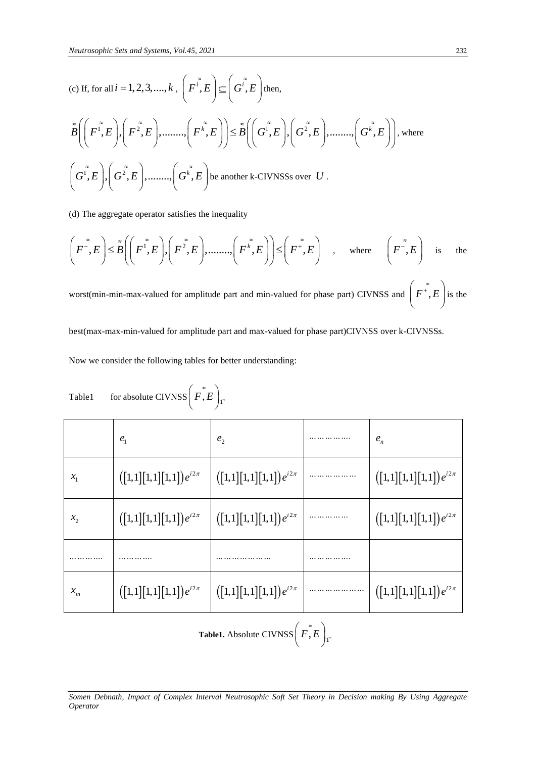(c) If, for all 
$$
i = 1, 2, 3, \dots, k
$$
,  $\left(F^{i}, E\right) \subseteq \left(G^{i}, E\right)$  then,  
\n
$$
\tilde{B}\left(\left(F^{i}, E\right), \left(F^{2}, E\right), \dots, \left(F^{k}, E\right)\right) \leq \tilde{B}\left(\left(G^{i}, E\right), \left(G^{2}, E\right), \dots, \left(G^{k}, E\right)\right), \text{ where}
$$
\n
$$
\left(G^{i}, E\right), \left(G^{2}, E\right), \dots, \left(G^{k}, E\right) \text{ be another k-CIVNSSs over } U.
$$

(d) The aggregate operator satisfies the inequality\n
$$
\left(F^{\tilde{}}\!, E\right) \leq \tilde{B}\left(\left(F^{\tilde{}}\!, E\right), \left(F^{\tilde{}}\!, E\right), \dots, \left(F^{\tilde{k}}\!, E\right)\right) \leq \left(F^{\tilde{}}\!, E\right) \quad , \quad \text{where} \quad \left(F^{\tilde{}}\!, E\right) \quad \text{is} \quad \text{the}
$$

worst(min-min-max-valued for amplitude part and min-valued for phase part) CIVNSS and  $|F^+, E$  $\left(F^{*},E\right)$ is the

best(max-max-min-valued for amplitude part and max-valued for phase part)CIVNSS over k-CIVNSSs.

Now we consider the following tables for better understanding:

Table1 for absolute CIVNSS 
$$
\left(\tilde{F}, E\right)
$$
<sub>1<sup>-</sup></sub>

|                            | $e_{1}$                                                                                                                          | e <sub>2</sub>                                                                                                                   |  | $e_n$                                                                                                                            |  |
|----------------------------|----------------------------------------------------------------------------------------------------------------------------------|----------------------------------------------------------------------------------------------------------------------------------|--|----------------------------------------------------------------------------------------------------------------------------------|--|
| $x_{1}$                    | $([1,1][1,1][1,1])e^{i2\pi}$                                                                                                     | $\left( \begin{bmatrix} 1,1 \end{bmatrix} \begin{bmatrix} 1,1 \end{bmatrix} \begin{bmatrix} 1,1 \end{bmatrix} \right) e^{i2\pi}$ |  | $\left( \begin{bmatrix} 1,1 \end{bmatrix} \begin{bmatrix} 1,1 \end{bmatrix} \begin{bmatrix} 1,1 \end{bmatrix} \right) e^{i2\pi}$ |  |
| $x_2$                      | $\left( \begin{bmatrix} 1,1 \end{bmatrix} \begin{bmatrix} 1,1 \end{bmatrix} \begin{bmatrix} 1,1 \end{bmatrix} \right) e^{i2\pi}$ | $\left( \begin{bmatrix} 1,1 \end{bmatrix} \begin{bmatrix} 1,1 \end{bmatrix} \begin{bmatrix} 1,1 \end{bmatrix} \right) e^{i2\pi}$ |  | $\left( \begin{bmatrix} 1,1 \end{bmatrix} \begin{bmatrix} 1,1 \end{bmatrix} \begin{bmatrix} 1,1 \end{bmatrix} \right) e^{i2\pi}$ |  |
|                            |                                                                                                                                  |                                                                                                                                  |  |                                                                                                                                  |  |
| $x_{\scriptscriptstyle m}$ | $\left( \begin{bmatrix} 1,1 \end{bmatrix} \begin{bmatrix} 1,1 \end{bmatrix} \begin{bmatrix} 1,1 \end{bmatrix} \right) e^{i2\pi}$ | $\left( \begin{bmatrix} 1,1 \end{bmatrix} \begin{bmatrix} 1,1 \end{bmatrix} \begin{bmatrix} 1,1 \end{bmatrix} \right) e^{i2\pi}$ |  | $\left( \begin{bmatrix} 1,1 \end{bmatrix} \begin{bmatrix} 1,1 \end{bmatrix} \begin{bmatrix} 1,1 \end{bmatrix} \right) e^{i2\pi}$ |  |
|                            |                                                                                                                                  |                                                                                                                                  |  |                                                                                                                                  |  |

**Table1.** Absolute CIVNSS  $(F, E)$ 

*Somen Debnath, Impact of Complex Interval Neutrosophic Soft Set Theory in Decision making By Using Aggregate Operator*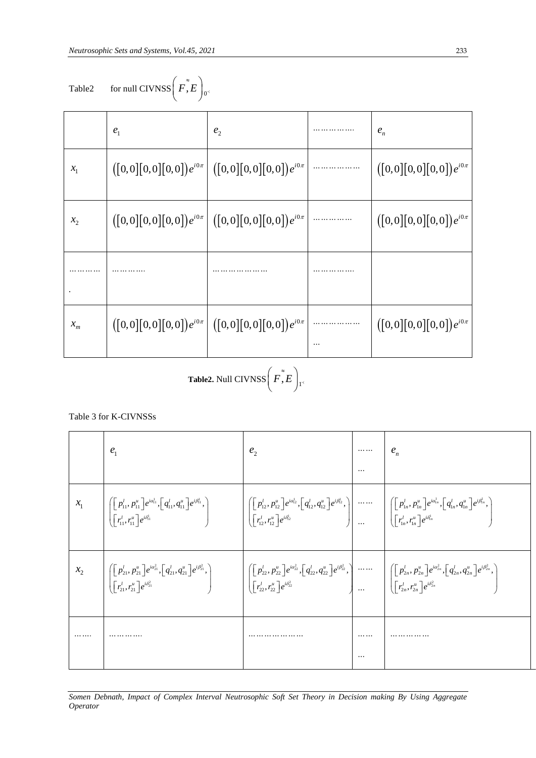| Table2 | for null CIVNSS $\left F,E\right _0$ |  |
|--------|--------------------------------------|--|
|        |                                      |  |

 $e_1$ 

 $x_{1}$ 

 $x_{2}$ 

*.*

 $x_m$ 

 $\overline{\Gamma}$ 

Table 3 for K-CIVNSSs

 $\blacksquare$ 

*…………*

| for null CIVNSS $\mid$ F, E $\mid$ <sub>0</sub><br>Fable2- |  |
|------------------------------------------------------------|--|

Table2 for null CIVNSS 
$$
\left( \tilde{F}, E \right)_{0^4}
$$

$$
\text{ble2} \qquad \text{for null CIVNSS} \bigg( \tilde{F, E} \bigg)_0
$$

for null CIVNSS 
$$
\left(\overline{F}, \overline{E}\right)
$$

$$
\begin{array}{c}\n\bullet \\
\bullet \\
\hline\n\end{array}
$$

$$
\begin{array}{c}\n\text{null CIVNSS} & F, E \\
\hline\n\end{array}
$$

$$
[\text{VNSS}\Big(\,F,E\,\Big)_{0^{\leq}}
$$

 $e<sub>2</sub>$ 

|  | $\Big \, \big([0,0]\hskip -0.05cm [0,0]\hskip -0.05cm ]\big[0,0\hskip -0.05cm ]\big] e^{i0\pi}$ |
|--|-------------------------------------------------------------------------------------------------|
|  | $\Big \, \left([0,0]\hskip-2.5pt\,[0,0]\hskip-2.5pt\,[0,0]\right] e^{i0\pi}$                    |
|  |                                                                                                 |
|  |                                                                                                 |

 $\blacksquare$ 

*e …………….*

$$
x_1 \qquad \qquad ([0,0][0,0][0,0])e^{i0\pi} \qquad \qquad ([0,
$$

 $\mathcal{X}_m \qquad \Big| \, \big( \big[ 0 , 0 \big] \big[ 0 , 0 \big] \big[ 0 , 0 \big] \big) e^{i 0 \pi} \, \Big| \, \, \big( \big[ 0 , 0 \big] \big[ 0 , 0 \big] \big[ 0 , 0 \big] \big[ 0 , 0 \big] \big) e^{i 0 \pi} \Big|$ 

**Table2.** Null CIVNSS  $(F, E)$ 

$$
(z^{\alpha})
$$

|         | e <sub>1</sub>                                                                                                                                                                                                                                                                                                                                                                                              | $e_{\gamma}$ |                                                                                                                                                                                                                                                                                                                                                                                                                                                                                   |
|---------|-------------------------------------------------------------------------------------------------------------------------------------------------------------------------------------------------------------------------------------------------------------------------------------------------------------------------------------------------------------------------------------------------------------|--------------|-----------------------------------------------------------------------------------------------------------------------------------------------------------------------------------------------------------------------------------------------------------------------------------------------------------------------------------------------------------------------------------------------------------------------------------------------------------------------------------|
| $x_{1}$ | $\left \begin{pmatrix} \left[p_{11}^l,p_{11}^u\right]e^{i\alpha_{11}^l}, \left[q_{11}^l,q_{11}^u\right]e^{i\beta_{11}^l}, \\\left[r_{11}^l,r_{11}^u\right]e^{i\beta_{11}^l}\end{pmatrix}\right \right \left \begin{pmatrix} \left[p_{12}^l,p_{12}^u\right]e^{i\alpha_{12}^l}, \left[q_{12}^l,q_{12}^u\right]e^{i\beta_{12}^l}, \\\left[r_{12}^l,r_{12}^u\right]e^{i\beta_{12}^l}\end{pmatrix}\right \right$ |              |                                                                                                                                                                                                                                                                                                                                                                                                                                                                                   |
|         | $\Bigg\ \begin{bmatrix} \big[P_{21}^l,P_{21}^u\big]e^{i\alpha_{21}^2}, \big[q_{21}^l,q_{21}^u\big]e^{i\beta_{21}^2}, \ \big[r_{21}^l,r_{21}^u\big]e^{i\beta_{21}^2} \end{bmatrix}\Bigg\ _1.$                                                                                                                                                                                                                |              | $\left\{\begin{aligned} \left[ \begin{matrix} p'_{22}, p''_{22} \end{matrix} \right] & e^{i a^2_{22}}, \left[ q'_{22}, q''_{22} \end{matrix} \right] & e^{i \beta^2_{22}}, \right\} & \ldots \hspace{1cm} \cdots \hspace{1cm} \left\{\begin{aligned} \left[ \begin{matrix} p'_{2n}, p''_{2n} \end{matrix} \right] & e^{i a^2_{2n}}, \left[ q'_{2n}, q''_{2n} \end{matrix} \right] & e^{i \beta^2_{2n}}, \right. \ \left. \begin{aligned} \left[ \begin{matrix} r'_2, r''_2 \end{$ |
|         |                                                                                                                                                                                                                                                                                                                                                                                                             |              |                                                                                                                                                                                                                                                                                                                                                                                                                                                                                   |

*………………*

 $\mathbf{I}$ 

 $\mathbf{I}$ 

*…*

*n e*

 $([0,0][0,0][0,0])e^{i0\pi}$ 

 $\overline{\phantom{a}}$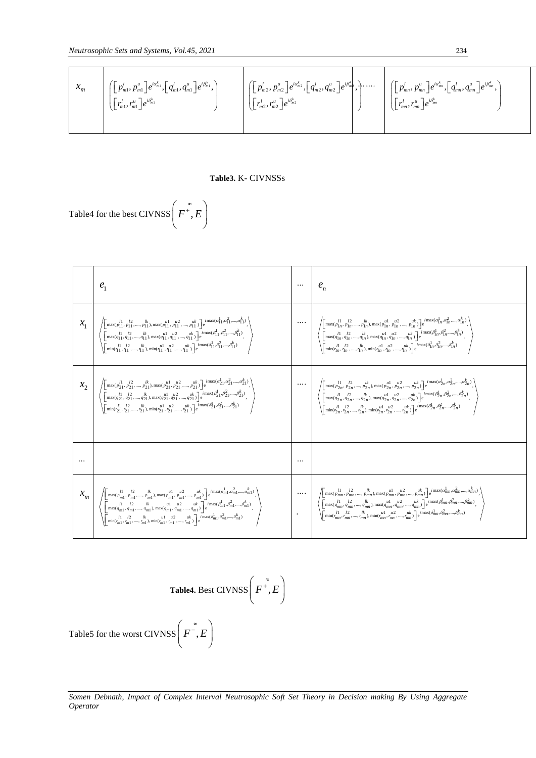$$
\mathcal{X}_{m} \left[ \begin{bmatrix} [p_{m}^{l}, p_{m}^{u} ] e^{i\alpha_{m}^{k}}, [q_{m}^{l}, q_{m}^{u} ] e^{i\beta_{m}^{k}}, \\ \left[ r_{m}^{l}, r_{m}^{u} \right] e^{i\beta_{m}^{k}} \end{bmatrix} \right] = \begin{bmatrix} [p_{m}^{l}, p_{m}^{u} ] e^{i\alpha_{m}^{k}}, [q_{m}^{l}, q_{m}^{u} ] e^{i\beta_{m}^{k}}, \\ \left[ r_{m}^{l}, r_{m}^{u} \right] e^{i\delta_{m}^{k}} \end{bmatrix} \right] = \begin{bmatrix} [p_{m}^{l}, p_{m}^{u} ] e^{i\beta_{m}^{k}}, \\ \left[ r_{m}^{l}, r_{m}^{u} \right] e^{i\beta_{m}^{k}} \end{bmatrix} \right] = \begin{bmatrix} [p_{m}^{l}, p_{m}^{u} ] e^{i\alpha_{m}^{k}}, [q_{m}^{l}, q_{m}^{u} ] e^{i\beta_{m}^{k}}, \\ \left[ r_{m}^{l}, r_{m}^{u} \right] e^{i\delta_{m}^{k}} \end{bmatrix}
$$

#### **Table3.** K- CIVNSSs

Table4 for the best CIVNSS $\mid F^+, E$  $\left(F^{*},E\right)$ 

| e <sub>1</sub>                                                                                                                                                                                                                                                                                                                                                                                                                      |                                                                                                                                                                                                                                                                                                                                                                                                                                                   |
|-------------------------------------------------------------------------------------------------------------------------------------------------------------------------------------------------------------------------------------------------------------------------------------------------------------------------------------------------------------------------------------------------------------------------------------|---------------------------------------------------------------------------------------------------------------------------------------------------------------------------------------------------------------------------------------------------------------------------------------------------------------------------------------------------------------------------------------------------------------------------------------------------|
| $\left\langle \begin{bmatrix} \max(\rho_{11}^{l_1},\rho_{11}^{l_2},,\rho_{11}^{lk}), \max(\rho_{11}^{u1},\rho_{11}^{u2},,\rho_{11}^{lk}) \end{bmatrix} e^{i\max(\alpha_{11}^{l_1},\alpha_{11}^{2},,\alpha_{11}^{k_1})}, \\ \left[ \max(q_{11}^{l_1},q_{11}^{l_2},,q_{11}^{l_1}), \max(q_{11}^{u1},q_{11}^{u2},,q_{11}^{u1}) \right] e^{i\max(\beta_{11}^{l_1},\beta_{11}^{l_2},,\beta$                                              | $\label{eq:3.1} \begin{array}{c} \cdots \\ \left\langle \begin{bmatrix} \max(\rho_{1n}^{11},\rho_{1n}^{12},,\rho_{1n}^{lk}),\max(\rho_{1n}^{ul},\rho_{1n}^{u2},,\rho_{1n}^{uk}) \\ \left[ \max(q_{1n}^{l},q_{1n}^{12},,q_{1n}^{lk}),\max(q_{1n}^{ul},q_{1n}^{2},,q_{1n}^{ul}) \end{bmatrix} e^{i\max(q_{1n}^{l},q_{1n}^{2},,q_{1n}^{lk})}, \right] \\ \left\langle \begin{bmatrix} \max(q_{1n}^{l},q_{1n}^{2$                                     |
| $\left\langle \begin{bmatrix} \max(p_{21}^{l_1},p_{21}^{l_2},,p_{21}^{l_k},\max(p_{21}^{u1},p_{21}^{u2},,p_{21}^{uk}) \\ \left[\max(q_{21}^{l_1},q_{21}^{l_2},,q_{21}^{l_k}),\max(q_{21}^{u1},q_{21}^{u2},,q_{21}^{uk})\right] e^{i\max(\alpha_{21}^{l_1},\alpha_{21}^{2},,,\alpha_{21}^{k})} \\ \left[\max(q_{21}^{l_1},q_{21}^{l_2},,q_{21}^{l_k}),\max(q_{21}^{u$                                                                | $\label{eq:3.10} \begin{array}{c} \cdots \\ \left\langle \begin{bmatrix} \max(\frac{l_1}{p_{2n}}, \frac{l_2}{p_{2n}}, \ldots, \frac{l_k}{p_{2n}}), \max(p_{2n}^{u1}, \frac{\mu_2}{p_{2n}}, \ldots, \frac{\mu_k}{p_{2n}}) \end{bmatrix} e^{i \max(\alpha^1_{2n}, \alpha^2_{2n}, \ldots, \alpha^k_{2n})} \right\rangle \\ \left\langle \begin{bmatrix} \max(q^1_{2n}, q^1_{2n}, \ldots, q^k_{2n}), \max(q^1_{2n}, q^2_{2n}, \ldots, q^k_{2n}) \end$ |
|                                                                                                                                                                                                                                                                                                                                                                                                                                     |                                                                                                                                                                                                                                                                                                                                                                                                                                                   |
| $\mathcal{X}_m \left( \left  \begin{matrix*}[l] \max(\frac{l_1}{p_{m1}}, \frac{l_2}{p_{m1}}, \ldots, \frac{l_l}{p_{m1}}, \max(\frac{l_l}{p_{m1}}, \frac{u_2}{p_{m1}}, \ldots, \frac{u_k}{p_{m1}}) \\ \max(q_{m1}, q_{m1}, \ldots, q_{m1}), \max(q_{m1}, q_{m1}, \ldots, q_{m1}) \\ \max(q_{m1}, q_{m1}, \ldots, q_{m1}), \max(q_{m1}, q_{m1}, \ldots, q_{m1}) \\ \min(\frac{l_1}{p_{m1}}, \frac{l_2}{p_{m1}}, \ldots, \frac{l_k}{p$ | $\label{eq:10} \begin{array}{c} \dots \\[-10pt] \begin{array}{c} \left(\begin{matrix} \max\{p_{1n}^{1},\ p_{2n}^{2},\dots,p_{lm}^{R}\},\max\{p_{mn}^{1},\ p_{n2}^{2},\dots,p_{lm}^{lk}\} \end{matrix}\right) e^{i\max\{p_{mn}^{1},\dots,p_{lm}^{2}\},\vspace{1mm}\\ \left(\begin{matrix} \max\{d_{1m}^{1},\ d_{2m}^{2},\dots,d_{mn}^{k}\},\max\{d_{mn}^{1},\ d_{mn}^{2},\dots,\ d_{mn}^{lk}\} \end{matrix}\right) e^{i\max\{\beta_{$              |

**Table4.** Best CIVNSS 
$$
\left(F^{\dagger}, E\right)
$$

Table5 for the worst CIVNSS  $\mid F^{-}, E$  $\left(F^{\tilde{\varepsilon}},E\right)$ 

*Somen Debnath, Impact of Complex Interval Neutrosophic Soft Set Theory in Decision making By Using Aggregate Operator*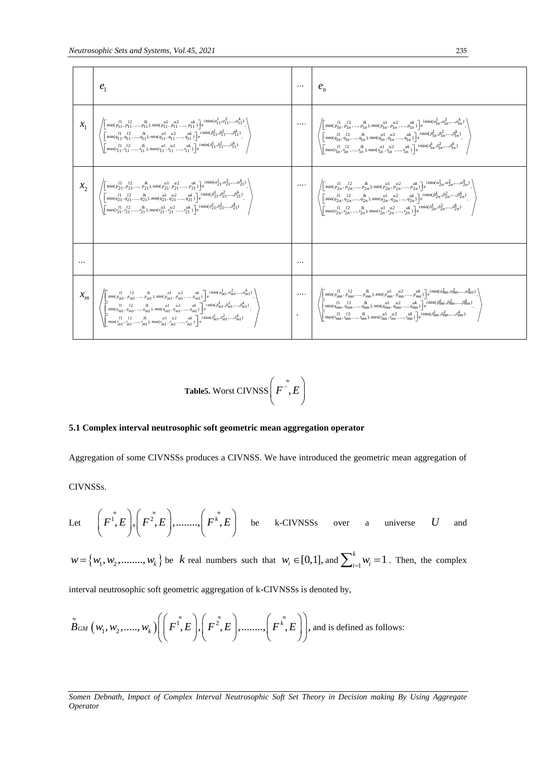| e <sub>1</sub>                                                                                                                                                                                                                                                                                                                                                                                                            |                                                                                                                                                                                                                                                                                                                                                                                                                                 |
|---------------------------------------------------------------------------------------------------------------------------------------------------------------------------------------------------------------------------------------------------------------------------------------------------------------------------------------------------------------------------------------------------------------------------|---------------------------------------------------------------------------------------------------------------------------------------------------------------------------------------------------------------------------------------------------------------------------------------------------------------------------------------------------------------------------------------------------------------------------------|
| $\left( \begin{array}{c} \left( \begin{matrix*}[l] \min(\rho_{11}^{H},\rho_{11}^{H},\ldots,\rho_{11}^{H}), \min(\rho_{11}^{H1},\rho_{11}^{H2},\ldots,\rho_{1K}^{Hk}) \end{matrix*} \right) e^{i\min(\alpha_{11}^{H},\alpha_{11}^{H},\ldots,\alpha_{11}^{K})}, \\ \left( \begin{matrix*}[l] \min(q_{11}^{H},q_{11}^{H},\ldots,q_{11}^{H}), \min(q_{11}^{H},q_{11}^{H},\ldots,q_{11}^{H}) \end{matrix*} e^{i\min(\rho_{11}$ |                                                                                                                                                                                                                                                                                                                                                                                                                                 |
| $\left\langle \begin{bmatrix} \min(p_{21}^{I1}, p_{21}^{I2}, , p_{21}^{lk}), \min(p_{21}^{u1}, p_{21}^{u2}, , p_{2k}^{uk}) \end{bmatrix} \right  e^{i\min(a_{21}^{I1}, a_{21}^{2}, , a_{21}^{k})}, \\ \left\{ \begin{bmatrix} \min(q_{21}^{I1}, q_{21}^{2}, , q_{21}^{l}), \min(q_{21}^{u1}, q_{21}^{u2}, , q_{21}^{uk}) \end{bmatrix} \right\} e^{i\min(p_{21}^{I1}, p_{21}^{2}, , p_{21}^{k})$                          |                                                                                                                                                                                                                                                                                                                                                                                                                                 |
|                                                                                                                                                                                                                                                                                                                                                                                                                           |                                                                                                                                                                                                                                                                                                                                                                                                                                 |
| $\mathcal{X}_m \left( \begin{array}{c} \left[\min(\frac{l}{p_{m1}}, \frac{l^2}{p_{m1}}, \ldots, \frac{l^k}{p_{m1}}, \min(\frac{u^1}{p_{m1}}, \frac{u^2}{p_{m1}}, \ldots, \frac{u^k}{p_{m1}})\right] \text{e}^{\text{ i}\min(d_{m1}, d_{m1}^2, \ldots, d_{m1}^k)} \\ \left[\min(\frac{l}{q_{m1}}, \frac{l^2}{q_{m1}}, \ldots, \frac{l^k}{q_{m1}}, \min(\frac{u^1}{p_{m1}}, \frac{u^2}{q_{m1}}, \ldots, \frac{u^k}{q_{m1}}$ | $\label{eq:1} \begin{array}{c} \dots \\ \left\langle \begin{bmatrix} \min(\rho_{mn}^{H},\rho_{mn}^{H},,\rho_{mn}^{H},\min(\rho_{mn}^{H1},\rho_{mn}^{H2},,\rho_{mn}^{u k}) \\ \prod\limits_{i=1}^{m} \min(\rho_{mn}^{H1},\rho_{mn}^{H2},,\rho_{mn}^{H2},,\rho_{mn}^{H2}) \\ \prod\limits_{i=1}^{m} \min(\rho_{mn}^{H1},\rho_{mn}^{H2},,\rho_{mn}^{H2},\min(\rho_{mn}^{H1},\rho_{mn}^{H2},,\rho_{mn}^{H2}) \\ \prod\limits_{i=1}$ |

**Table5.** Worst CIVNSS  $\mid F^{-}$ , E  $\left(F^{\tilde{\varepsilon}},E\right)$ 

#### **5.1 Complex interval neutrosophic soft geometric mean aggregation operator**

Aggregation of some CIVNSSs produces a CIVNSS. We have introduced the geometric mean aggregation of

CIVNSSs.

Let 
$$
\left(F^{\tilde{i}},E\right), \left(F^{\tilde{z}},E\right), \dots, \left(F^{\tilde{k}},E\right)
$$
 be k-CIVNSSs over a universe U and

 $w = \{w_1, w_2, \dots, w_k\}$  be  $k$  real numbers such that  $w_i \in [0,1]$ , and  $\sum_{i=1}^{k} w_i = 1$  $\sum_{i=1}^{k} w_i = 1$ . Then, the complex

interval neutrosophic soft geometric aggregation of k-CIVNSSs is denoted by,  
\n
$$
\widetilde{B}_{GM}\left(w_1, w_2, \dots, w_k\right) \left( \left(F^{\widetilde{1}}, E\right), \left(F^{\widetilde{2}}, E\right), \dots, \left(F^{\widetilde{k}}, E\right) \right), \text{ and is defined as follows:}
$$

*Somen Debnath, Impact of Complex Interval Neutrosophic Soft Set Theory in Decision making By Using Aggregate Operator*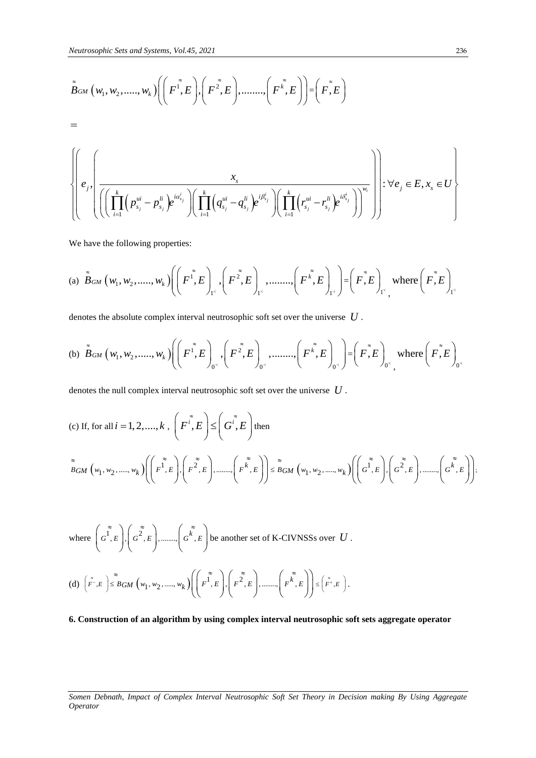$$
\tilde{B}_{GM}(w_1, w_2, \ldots, w_k) \left( \left( F^{\tilde{1}}, E \right), \left( F^{\tilde{2}}, E \right), \ldots, \left( F^{\tilde{k}}, E \right) \right) = \left( F^{\tilde{k}}, E \right)
$$
\n
$$
= \sqrt{\left( e_j, \left( \frac{x_j}{\left( \prod_{i=1}^k \left( p_{s_j}^{ui} - p_{s_j}^{li} \right) e^{ia_{s_j}^i} \right) \left( \prod_{i=1}^k \left( q_{s_j}^{ui} - q_{s_j}^{li} \right) e^{i\beta_{s_j}^i} \right) \left( \prod_{i=1}^k \left( r_{s_j}^{ui} - r_{s_j}^{li} \right) e^{ia_{s_j}^i} \right) \right)^{w_i}} \right) \cdot \forall e_j \in E, x_s \in U
$$

We have the following properties:

We have the following properties:  
\n(a) 
$$
\tilde{B}_{GM}(w_1, w_2, \dots, w_k) \Biggl( \Biggl( F^{\tilde{1}}, E \Biggr)_{\tilde{1}^s}, \Biggl( F^{\tilde{2}}, E \Biggr)_{\tilde{1}^s}, \dots, \Biggl( F^{\tilde{k}}, E \Biggr)_{\tilde{1}^s} \Biggr) = \Biggl( F^{\tilde{2}}, E \Biggr)_{\tilde{1}^s}
$$
, where  $\Biggl( F^{\tilde{2}}, E \Biggr)_{\tilde{1}^s}$ 

denotes the absolute complex interval neutrosophic soft set over the universe 
$$
U
$$
.  
\n(b)  $\tilde{B}_{GM}(w_1, w_2, \dots, w_k) \bigg( \bigg( F^{\tilde{r}}, E \bigg)_{0^{\tilde{r}}}, \bigg( F^{\tilde{r}}, E \bigg)_{0^{\tilde{r}}}, \dots, \bigg( F^{\tilde{k}}, E \bigg)_{0^{\tilde{r}}} \bigg) = \bigg( F^{\tilde{r}} , E \bigg)_{0^{\tilde{r}}}, \text{ where } \bigg( F^{\tilde{r}} , E \bigg)_{0^{\tilde{r}}}$ 

denotes the null complex interval neutrosophic soft set over the universe *U* .

(c) If, for all 
$$
i = 1, 2, ..., k
$$
,  $\left(F^{i}, E\right) \leq \left(G^{i}, E\right)$  then  
\n
$$
\sum_{BGM}^{\infty} \left(w_1, w_2, ..., w_k\right) \left(\left(F^{i}, E\right), \left(F^{i}, E\right), \dots, \left(F^{i}, E\right)\right) \leq BGM \left(w_1, w_2, ..., w_k\right) \left(\left(G^{i}, E\right), \left(G^{i}, E\right), \dots, \left(G^{i}, E\right)\right);
$$

where 
$$
\left(\overline{G}^{\widetilde{1}}, E\right), \left(\overline{G}^{\widetilde{2}}, E\right), \dots, \left(\overline{G}^{\widetilde{k}}, E\right)
$$
 be another set of K-CIVNSSs over  $U$ .

(d) 
$$
\left(\tilde{F}^{\tilde{}} , E\right) \leq BGM \left(w_1, w_2, \dots, w_k\right) \left(\left(\tilde{F}^{\tilde{}} , E\right), \left(\tilde{F}^{\tilde{}} , E\right), \dots, \left(\tilde{F}^{\tilde{k}} , E\right)\right) \leq \left(\tilde{F}^{\tilde{}} , E\right).
$$

**6. Construction of an algorithm by using complex interval neutrosophic soft sets aggregate operator**

*Somen Debnath, Impact of Complex Interval Neutrosophic Soft Set Theory in Decision making By Using Aggregate Operator*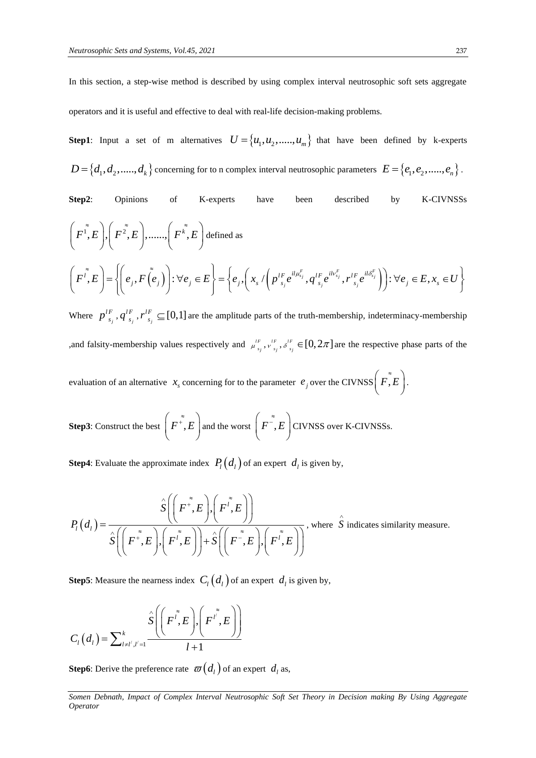In this section, a step-wise method is described by using complex interval neutrosophic soft sets aggregate operators and it is useful and effective to deal with real-life decision-making problems.

**Step1**: Input a set of m alternatives  $U = \{u_1, u_2, \dots, u_m\}$  that have been defined by k-experts  $D = \{d_1, d_2, \ldots, d_k\}$  concerning for to n complex interval neutrosophic parameters  $E = \{e_1, e_2, \ldots, e_n\}$ .

Step2: Opinions of K-exports have been described by K-CIVNSSs\n
$$
\left(F^{\tilde{I}},E\right), \left(F^{\tilde{Z}},E\right), \dots, \left(F^{\tilde{k}},E\right) \text{defined as}
$$
\n
$$
\left(F^{\tilde{I}},E\right) = \left\{\left(e_j, F(\tilde{e}_j)\right): \forall e_j \in E\right\} = \left\{e_j, \left(x_s / \left(p_{s_j}^{lF}e^{il\mu_{s_j}^F}, q_{s_j}^{lF}e^{il\nu_{s_j}^F}, r_{s_j}^{lF}e^{il\delta_{s_j}^F}\right)\right): \forall e_j \in E, x_s \in U\right\}
$$

Where  $p_{s_j}^{\prime r}$ *lF*  $p^{\prime F}_{-s_j}$  ,  $q^{\prime F}_{-s_j}$  $q_{\,s_{_j}}^{lF},r_{\,s_{_j}}^{lF}$ *lF*  $r_{s_i}^{lF} \subseteq [0,1]$  are the amplitude parts of the truth-membership, indeterminacy-membership , and falsity-membership values respectively and  $\mu_{\varepsilon}^{\mu}$  $\mu^{IF}_{s_j}, \nu^{IF}_{s_j}$  $v^{IF}_{s_j}, \delta^{IF}_{s_j}$  $s^{\prime\prime}_{s_j} \in [0, 2\pi]$  are the respective phase parts of the

evaluation of an alternative  $x_s$  concerning for to the parameter  $e_j$  over the CIVNSS  $\left(\vec{F}, \vec{E}\right)$ .

**Step3**: Construct the best  $\mid F^+, E$  $\left(F^{*},E\right)$ and the worst  $\mid F^{-}, E$  $\left(F^{\tilde{\varepsilon}},E\right)$ CIVNSS over K-CIVNSSs.

**Step4**: Evaluate the approximate index  $P_l(d_l)$  of an expert  $d_l$  is given by,

$$
P_{i}(d_{i}) = \frac{\hat{S}\left(\left(F^{*},E\right),\left(F^{*},E\right)\right)}{\hat{S}\left(\left(F^{*},E\right),\left(F^{*},E\right)\right)+\hat{S}\left(\left(F^{*},E\right),\left(F^{*},E\right)\right)}, \text{ where } \hat{S} \text{ indicates similarity measure.}
$$

**Step5**: Measure the nearness index  $C_l(d_l)$  of an expert  $d_l$  is given by,

$$
C_l(d_l) = \sum_{l \neq l', l'=1}^k \frac{\hat{S}\left(\left(F^{l^*}, E\right), \left(F^{l^*}, E\right)\right)}{l+1}
$$

**Step6**: Derive the preference rate  $\varpi(d_i)$  of an expert  $d_i$  as,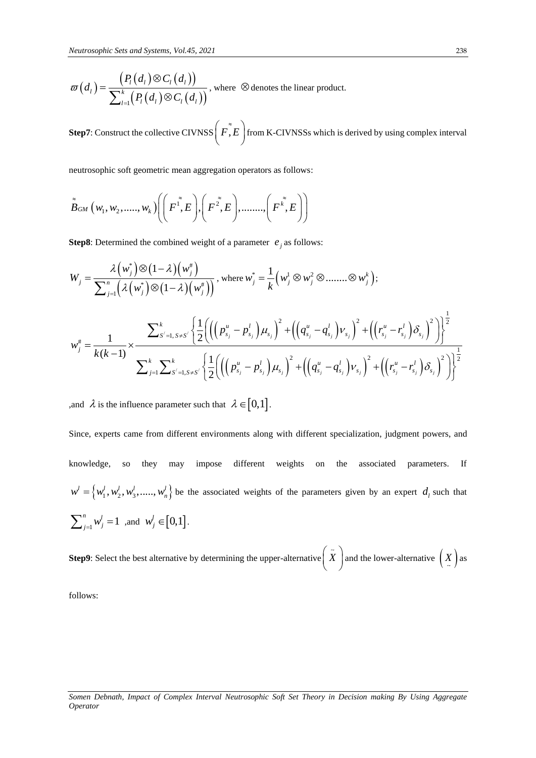$$
\varpi(d_i) = \frac{\left(P_i(d_i) \otimes C_i(d_i)\right)}{\sum_{l=1}^k \left(P_l(d_i) \otimes C_l(d_i)\right)},
$$
 where  $\otimes$  denotes the linear product.

**Step7**: Construct the collective CIVNSS  $\left( \tilde{F}, E \right)$  from K-CIVNSSs which is derived by using complex interval

neutrosophic soft geometric mean aggregation operators as follows:

neutrosopnc sort geometric mean aggregation operators as follows:  
\n
$$
\tilde{B}_{GM}(w_1, w_2, \dots, w_k) \left( \left( F^{\tilde{r}}, E \right), \left( F^{\tilde{z}}, E \right), \dots, \left( F^{\tilde{k}}, E \right) \right)
$$

**Step8**: Determined the combined weight of a parameter  $e_j$  as follows:

$$
W_{j} = \frac{\lambda \left(w_{j}^{*}\right) \otimes (1 - \lambda)\left(w_{j}^{*}\right)}{\sum_{j=1}^{n} \left(\lambda \left(w_{j}^{*}\right) \otimes (1 - \lambda)\left(w_{j}^{*}\right)\right)}, \text{ where } w_{j}^{*} = \frac{1}{k} \left(w_{j}^{1} \otimes w_{j}^{2} \otimes \dots \otimes w_{j}^{k}\right);
$$
\n
$$
w_{j}^{*} = \frac{1}{k(k-1)} \times \frac{\sum_{s'=1, s \neq s'}^{k} \left\{\frac{1}{2} \left(\left(\left(p_{s_{j}}^{u} - p_{s_{j}}^{l}\right) \mu_{s_{j}}\right)^{2} + \left(\left(q_{s_{j}}^{u} - q_{s_{j}}^{l}\right) \nu_{s_{j}}\right)^{2} + \left(\left(p_{s_{j}}^{u} - p_{s_{j}}^{l}\right) \delta_{s_{j}}\right)^{2}\right)\right\}^{\frac{1}{2}}}{\sum_{j=1}^{k} \sum_{s'=1, s \neq s'}^{k} \left\{\frac{1}{2} \left(\left(\left(p_{s_{j}}^{u} - p_{s_{j}}^{l}\right) \mu_{s_{j}}\right)^{2} + \left(\left(q_{s_{j}}^{u} - q_{s_{j}}^{l}\right) \nu_{s_{j}}\right)^{2} + \left(\left(p_{s_{j}}^{u} - p_{s_{j}}^{l}\right) \delta_{s_{j}}\right)^{2}\right)\right\}^{\frac{1}{2}}}{\left(\sum_{s'=1, s \neq s'}^{k} \left(\delta_{s'}^{u} - \delta_{s_{j}}^{l}\right) \mu_{s_{j}}\right)^{2} + \left(\delta_{s'}^{u} - \delta_{s_{j}}^{l}\right) \delta_{s_{j}}\right)^{2}} \times \left(\delta_{s'}^{u} - \delta_{s'}^{u} \delta_{s'}\right)^{2} \times \left(\delta_{s'}^{u} - \delta_{s'}^{u} \delta_{s'}\right)^{2} \times \left(\delta_{s'}^{u} - \delta_{s'}^{u} \delta_{s'}\right)^{2} \right)}
$$

and  $\lambda$  is the influence parameter such that  $\lambda \in [0,1]$ .

Since, experts came from different environments along with different specialization, judgment powers, and knowledge, so they may impose different weights on the associated parameters. If  $w' = \{w_1', w_2', w_3', \dots, w_n'\}$  be the associated weights of the parameters given by an expert  $d_i$  such that  $\sum_{j=1}^{n} w_j^l = 1$  $\sum_{j=1}^{n} w_j^l = 1$  ,and  $w_j^l \in [0,1]$ .

**Step9**: Select the best alternative by determining the upper-alternative  $\begin{pmatrix} \tilde{X} \end{pmatrix}$  and the lower-alternative  $\begin{pmatrix} X \end{pmatrix}$  as

follows: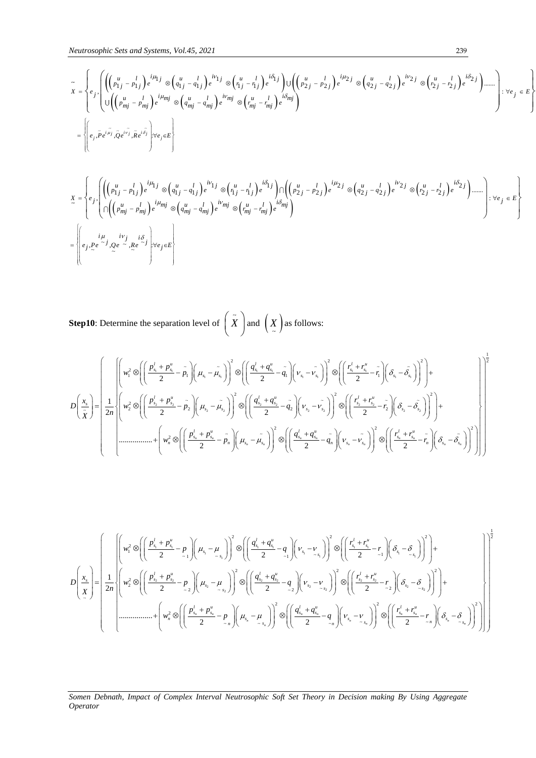$$
\tilde{x} = \begin{cases}\n\begin{aligned}\n& e_j \left[ \left( \left( p_{1j}^u - p_{1j}^l \right) e^{i\mu_{1j}} \otimes \left( q_{1j}^u - q_{1j}^l \right) e^{i\mu_{1j}} \otimes \left( q_{1j}^u - q_{1j}^l \right) e^{i\mu_{1j}} \otimes \left( q_{1j}^u - q_{1j}^l \right) e^{i\mu_{2j}} \otimes \left( q_{2j}^u - q_{2j}^l \right) e^{i\mu_{2j}} \otimes \left( q_{2j}^u - q_{2j}^l \right) e^{i\mu_{2j}} \otimes \left( q_{2j}^u - q_{2j}^l \right) e^{i\mu_{2j}} \right) \right] \\
& \times \left[ \left( \left( p_{mj}^u - p_{mj}^l \right) e^{i\mu_{mj}} \otimes \left( q_{mj}^u - q_{mj}^l \right) e^{i\nu_{mj}} \otimes \left( q_{mj}^u - q_{mj}^l \right) e^{i\mu_{mj}} \right) e^{i\mu_{mj}} \right]\n\end{cases}\n\right]\n\end{cases}\n\begin{aligned}\n& \times \mathbf{r} = \left\{ \begin{aligned}\n& e_j \left[ \left( \left( p_{mj}^u - p_{mj}^l \right) e^{i\mu_{1j}} \otimes \left( q_{mj}^u - q_{mj}^l \right) e^{i\nu_{mj}} \otimes \left( q_{mj}^u - q_{mj}^l \right) e^{i\mu_{2j}} \otimes \left( q_{2j}^u - q_{2j}^l \right) e^{i\mu_{2j}} \otimes \left( q_{2j}^u - q_{2j}^l \right) e^{i\mu_{2j}} \right) e^{i\mu_{2j}} \right] \\
& \times \mathbf{r} = \left\{ e_j \left[ \left( \left( p_{nj}^u - p_{1j}^l \right) e^{i\mu_{1j}} \otimes \left( q_{1j}^u - q_{1j}^l \right) e^{i\mu_{1j}} \otimes \left( q_{1j}^u - q_{1j}^l \right) e^{i\mu_{2j}} \right) e^{i\mu_{2j}} \otimes \left( q_{2j}^u - q_{2j}^l \right) e^{i\mu_{2
$$

$$
\begin{split}\n\mathbf{X} &= \begin{cases}\n\mathbf{E} \left[ \left( \left( p_{1j}^u - p_{1j}^l \right) e^{i\mu_{1j}} \otimes \left( q_{1j}^u - q_{1j}^l \right) e^{i\nu_{1j}} \otimes \left( r_{1j}^u - r_{1j}^l \right) e^{i\delta_{1j}} \right) \right] \left( \left( p_{2j}^u - p_{2j}^l \right) e^{i\mu_{2j}} \otimes \left( q_{2j}^u - q_{2j}^l \right) e^{i\nu_{2j}} \otimes \left( r_{2j}^u - r_{2j}^l \right) e^{i\delta_{2j}} \right) \dots \right. \\
\left. \mathbf{X} &= \begin{cases}\n\mathbf{E} \left[ \left( \left( p_{1j}^u - p_{1j}^l \right) e^{i\mu_{1j}} \otimes \left( q_{1j}^u - q_{1j}^l \right) e^{i\nu_{1j}} \otimes \left( r_{1j}^u - r_{1j}^l \right) e^{i\delta_{1j}} \right) \right] \mathbf{X} & \text{if } \mathbf{X} \in \mathbb{R} \\
\mathbf{X} &= \begin{cases}\n\mathbf{E} \left[ \left( p_{1j}^u - p_{1j}^l \right) e^{i\mu_{1j}} \otimes \left( q_{1j}^u - q_{1j}^l \right) e^{i\nu_{1j}} \otimes \left( r_{2j}^u - r_{2j}^l \right) e^{i\delta_{2j}} \right) \mathbf{X} & \text{if } \mathbf{X} \in \mathbb{R} \\
\mathbf{X} &= \begin{cases}\n\mathbf{E} \left[ \left( p_{1j}^u - p_{2j}^l \right) e^{i\mu_{2j}} \otimes \left( q_{2j}^u - q_{2j}^l \right) e^{i\mu_{2j}} \right) e^{i\mu_{2j}} \mathbf{X} & \text{if } \mathbf{X} \in \mathbb{R} \\
\mathbf{X} &= \begin{cases}\n\mathbf{E} \left[ \left( p_{1j}^u - p_{1j}^l \right) e^{i\mu_{1j}} \otimes \left( q_{2j}^u - q_{1
$$

**Step10**: Determine the separation level of  $\begin{pmatrix} \tilde{X} \end{pmatrix}$  and  $\begin{pmatrix} X \end{pmatrix}$  as follows:

$$
\bar{x} = \left\{ \int_{x}^{x} \left[ \left( \int_{t_{1}}^{R_{1}} x_{1}^{2} x_{1}^{2} \right) e^{i \left( \int_{t_{1}}^{R_{2}} x_{2}^{2} x_{2}^{2} \right) e^{i \left( \int_{t_{1}}^{R_{1}} x_{2}^{2} x_{2}^{2} \right) e^{i \left( \int_{t_{1}}^{R_{2}} x_{2}^{2} x_{2}^{2} \right) e^{i \left( \int_{t_{1}}^{R_{2}} x_{2}^{2} x_{2}^{2} \right) e^{i \left( \int_{t_{1}}^{R_{2}} x_{2}^{2} x_{2}^{2} \right) e^{i \left( \int_{t_{1}}^{R_{2}} x_{2}^{2} x_{2}^{2} \right) e^{i \left( \int_{t_{1}}^{R_{2}} x_{2}^{2} x_{2}^{2} \right) e^{i \left( \int_{t_{1}}^{R_{2}} x_{2}^{2} x_{2}^{2} \right) e^{i \left( \int_{t_{1}}^{R_{2}} x_{2}^{2} x_{2}^{2} \right) e^{i \left( \int_{t_{1}}^{R_{2}} x_{2}^{2} x_{2}^{2} \right) e^{i \left( \int_{t_{1}}^{R_{2}} x_{2}^{2} x_{2}^{2} \right) e^{i \left( \int_{t_{1}}^{R_{2}} x_{2}^{2} x_{2}^{2} \right) e^{i \left( \int_{t_{1}}^{R_{2}} x_{2}^{2} x_{2}^{2} \right) e^{i \left( \int_{t_{1}}^{R_{2}} x_{2}^{2} x_{2}^{2} \right) e^{i \left( \int_{t_{1}}^{R_{2}} x_{2}^{2} x_{2}^{2} \right) e^{i \left( \int_{t_{1}}^{R_{2}} x_{2}^{2} x_{2}^{2} \right) e^{i \left( \int_{t_{1}}^{R_{2}} x_{2}^{2} x_{2}^{2} \right) e^{i \left( \int_{t_{1}}^{R_{2}} x_{2}^{2} x_{2}^{2} \right) e^{i \left( \int_{t_{1}}^{R_{2}} x_{2}^{2} x_{2}^{2} \right) e^{i \left( \int_{t_{1}}^{R_{2}} x_{2}^{2} x_{2}^{2} \right) e^{i \left( \int
$$

$$
D\left(\frac{x}{x}\right) = \left(\frac{1}{2n}\left(\left(w_{1}^{2}\otimes\left(\left(\frac{p_{s_{1}}^{l} + p_{s_{1}}^{u}}{2} - p_{_{_{-1}}}\right)\right)\left(\mu_{s_{1}} - \mu_{_{s_{1}}}\right)\right)^{2}\otimes\left(\left(\frac{q_{s_{1}}^{l} + q_{s_{1}}^{u}}{2} - q_{_{-1}}\right)\left(\nu_{s_{1}} - \nu_{_{s_{1}}}\right)\right)^{2}\otimes\left(\left(\frac{r_{s_{1}}^{l} + r_{s_{1}}^{u}}{2} - r_{_{-1}}\right)\left(\delta_{s_{1}} - \delta_{_{-s_{1}}}\right)\right)^{2}\right)+\right)
$$

$$
D\left(\frac{x}{x}\right) = \left(\frac{1}{2n}\left(\left(w_{2}^{2}\otimes\left(\left(\frac{p_{s_{2}}^{l} + p_{s_{2}}^{u}}{2} - p_{_{-2}}\right)\left(\mu_{s_{2}} - \mu_{_{-s_{2}}}\right)\right)^{2}\otimes\left(\left(\frac{q_{s_{2}}^{l} + q_{s_{2}}^{u}}{2} - q_{_{-2}}\right)\left(\nu_{s_{2}} - \nu_{_{s_{2}}}\right)\right)^{2}\otimes\left(\left(\frac{r_{s_{2}}^{l} + r_{s_{2}}^{u}}{2} - r_{_{-2}}\right)\left(\delta_{s_{2}} - \delta_{_{s_{2}}}\right)\right)^{2}\right)+\right)
$$

$$
+ \left(w_{n}^{2}\otimes\left(\left(\frac{p_{s_{1}}^{l} + p_{s_{2}}^{u}}{2} - p_{_{-n}}\right)\left(\mu_{s_{n}} - \mu_{_{s_{n}}}\right)\right)^{2}\otimes\left(\left(\frac{q_{s_{1}}^{l} + q_{s_{2}}^{u}}{2} - q_{_{-n}}\right)\left(\nu_{s_{n}} - \nu_{_{s_{n}}}\right)\right)^{2}\otimes\left(\left(\frac{r_{s_{1}}^{l} + r_{s_{2}}^{u}}{2} - r_{_{-n}}\right)\left(\delta_{s_{2}} - \delta_{_{s_{2}}}\right)\right)^{2}\right)\right)
$$

# *Somen Debnath, Impact of Complex Interval Neutrosophic Soft Set Theory in Decision making By Using Aggregate*

1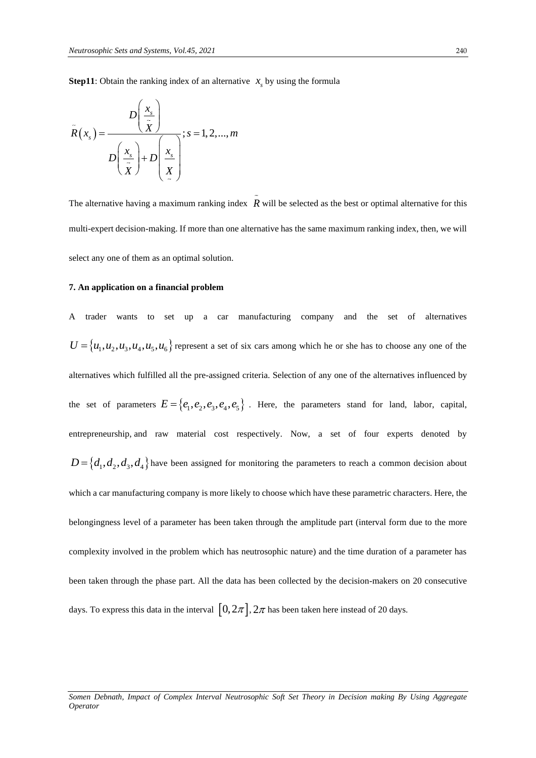**Step11**: Obtain the ranking index of an alternative  $x<sub>s</sub>$  by using the formula

$$
\tilde{R}(x_s) = \frac{D\left(\frac{x_s}{\tilde{X}}\right)}{D\left(\frac{x_s}{\tilde{X}}\right) + D\left(\frac{x_s}{\tilde{X}}\right)}; s = 1, 2, ..., m
$$

The alternative having a maximum ranking index  $R$  will be selected as the best or optimal alternative for this multi-expert decision-making. If more than one alternative has the same maximum ranking index, then, we will select any one of them as an optimal solution.

#### **7. An application on a financial problem**

A trader wants to set up a car manufacturing company and the set of alternatives  $U = {u_1, u_2, u_3, u_4, u_5, u_6}$  represent a set of six cars among which he or she has to choose any one of the alternatives which fulfilled all the pre-assigned criteria. Selection of any one of the alternatives influenced by the set of parameters  $E = \{e_1, e_2, e_3, e_4, e_5\}$ . Here, the parameters stand for land, labor, capital, entrepreneurship, and raw material cost respectively. Now, a set of four experts denoted by  $D = \{d_1, d_2, d_3, d_4\}$  have been assigned for monitoring the parameters to reach a common decision about which a car manufacturing company is more likely to choose which have these parametric characters. Here, the belongingness level of a parameter has been taken through the amplitude part (interval form due to the more complexity involved in the problem which has neutrosophic nature) and the time duration of a parameter has been taken through the phase part. All the data has been collected by the decision-makers on 20 consecutive days. To express this data in the interval  $\, [0, 2\pi], 2\pi$  has been taken here instead of 20 days.

*Somen Debnath, Impact of Complex Interval Neutrosophic Soft Set Theory in Decision making By Using Aggregate Operator*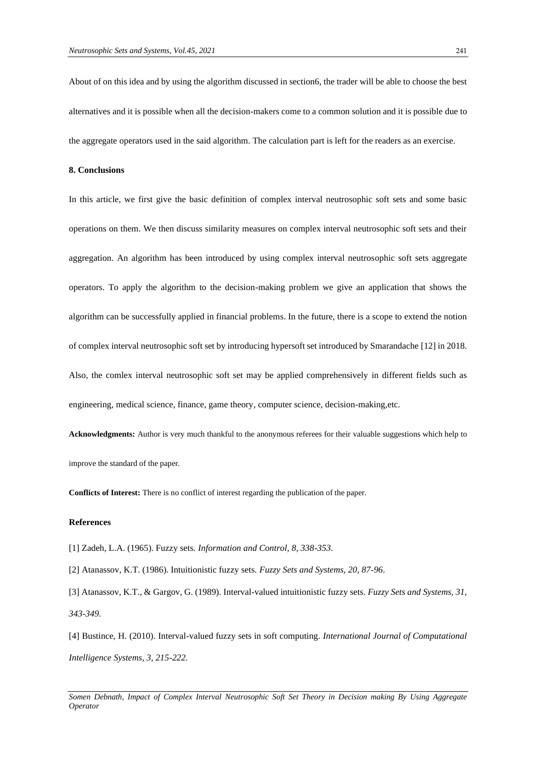About of on this idea and by using the algorithm discussed in section6, the trader will be able to choose the best alternatives and it is possible when all the decision-makers come to a common solution and it is possible due to the aggregate operators used in the said algorithm. The calculation part is left for the readers as an exercise.

#### **8. Conclusions**

In this article, we first give the basic definition of complex interval neutrosophic soft sets and some basic operations on them. We then discuss similarity measures on complex interval neutrosophic soft sets and their aggregation. An algorithm has been introduced by using complex interval neutrosophic soft sets aggregate operators. To apply the algorithm to the decision-making problem we give an application that shows the algorithm can be successfully applied in financial problems. In the future, there is a scope to extend the notion of complex interval neutrosophic soft set by introducing hypersoft set introduced by Smarandache [12] in 2018. Also, the comlex interval neutrosophic soft set may be applied comprehensively in different fields such as engineering, medical science, finance, game theory, computer science, decision-making,etc.

**Acknowledgments:** Author is very much thankful to the anonymous referees for their valuable suggestions which help to improve the standard of the paper.

**Conflicts of Interest:** There is no conflict of interest regarding the publication of the paper.

#### **References**

- [1] Zadeh, L.A. (1965). Fuzzy sets. *Information and Control, 8, 338-353*.
- [2] Atanassov, K.T. (1986). Intuitionistic fuzzy sets. *Fuzzy Sets and Systems, 20, 87-96*.

[3] Atanassov, K.T., & Gargov, G. (1989). Interval-valued intuitionistic fuzzy sets. *Fuzzy Sets and Systems, 31, 343-349.*

[4] Bustince, H. (2010). Interval-valued fuzzy sets in soft computing. *International Journal of Computational Intelligence Systems, 3, 215-222.*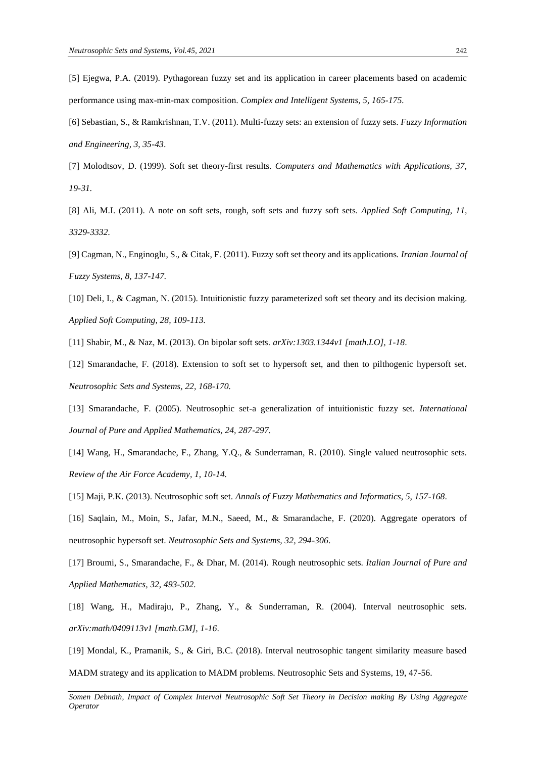[5] Ejegwa, P.A. (2019). Pythagorean fuzzy set and its application in career placements based on academic performance using max-min-max composition. *Complex and Intelligent Systems, 5, 165-175.*

[6] Sebastian, S., & Ramkrishnan, T.V. (2011). Multi-fuzzy sets: an extension of fuzzy sets. *Fuzzy Information and Engineering, 3, 35-43*.

[7] Molodtsov, D. (1999). Soft set theory-first results. *Computers and Mathematics with Applications, 37, 19-31.*

[8] Ali, M.I. (2011). A note on soft sets, rough, soft sets and fuzzy soft sets. *Applied Soft Computing, 11, 3329-3332.*

[9] Cagman, N., Enginoglu, S., & Citak, F. (2011). Fuzzy soft set theory and its applications. *Iranian Journal of Fuzzy Systems, 8, 137-147.*

[10] Deli, I., & Cagman, N. (2015). Intuitionistic fuzzy parameterized soft set theory and its decision making. *Applied Soft Computing, 28, 109-113.*

[11] Shabir, M., & Naz, M. (2013). On bipolar soft sets. *arXiv:1303.1344v1 [math.LO], 1-18*.

[12] Smarandache, F. (2018). Extension to soft set to hypersoft set, and then to pilthogenic hypersoft set. *Neutrosophic Sets and Systems, 22, 168-170.*

[13] Smarandache, F. (2005). Neutrosophic set-a generalization of intuitionistic fuzzy set. *International Journal of Pure and Applied Mathematics, 24, 287-297.*

[14] Wang, H., Smarandache, F., Zhang, Y.Q., & Sunderraman, R. (2010). Single valued neutrosophic sets. *Review of the Air Force Academy, 1, 10-14.*

[15] Maji, P.K. (2013). Neutrosophic soft set. *Annals of Fuzzy Mathematics and Informatics, 5, 157-168*.

[16] Saqlain, M., Moin, S., Jafar, M.N., Saeed, M., & Smarandache, F. (2020). Aggregate operators of neutrosophic hypersoft set. *Neutrosophic Sets and Systems, 32, 294-306*.

[17] Broumi, S., Smarandache, F., & Dhar, M. (2014). Rough neutrosophic sets. *Italian Journal of Pure and Applied Mathematics, 32, 493-502.*

[18] Wang, H., Madiraju, P., Zhang, Y., & Sunderraman, R. (2004). Interval neutrosophic sets. *arXiv:math/0409113v1 [math.GM], 1-16*.

[19] Mondal, K., Pramanik, S., & Giri, B.C. (2018). Interval neutrosophic tangent similarity measure based MADM strategy and its application to MADM problems. Neutrosophic Sets and Systems, 19, 47-56.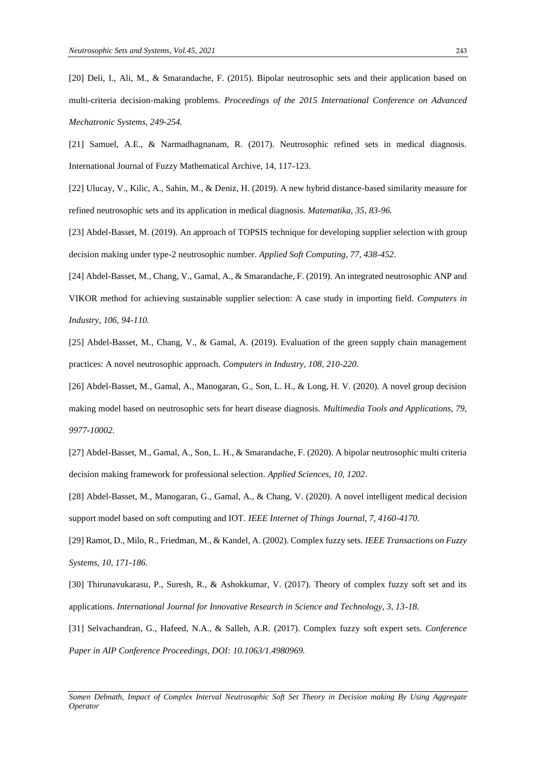[20] Deli, I., Ali, M., & Smarandache, F. (2015). Bipolar neutrosophic sets and their application based on multi-criteria decision-making problems. *Proceedings of the 2015 International Conference on Advanced Mechatronic Systems, 249-254.*

[21] Samuel, A.E., & Narmadhagnanam, R. (2017). Neutrosophic refined sets in medical diagnosis. International Journal of Fuzzy Mathematical Archive, 14, 117-123.

[22] Ulucay, V., Kilic, A., Sahin, M., & Deniz, H. (2019). A new hybrid distance-based similarity measure for refined neutrosophic sets and its application in medical diagnosis. *Matematika, 35, 83-96.*

[23] Abdel-Basset, M. (2019). An approach of TOPSIS technique for developing supplier selection with group decision making under type-2 neutrosophic number. *Applied Soft Computing, 77, 438-452*.

[24] Abdel-Basset, M., Chang, V., Gamal, A., & Smarandache, F. (2019). An integrated neutrosophic ANP and VIKOR method for achieving sustainable supplier selection: A case study in importing field. *Computers in Industry, 106, 94-110.*

[25] Abdel-Basset, M., Chang, V., & Gamal, A. (2019). Evaluation of the green supply chain management practices: A novel neutrosophic approach. *Computers in Industry, 108, 210-220.*

[26] Abdel-Basset, M., Gamal, A., Manogaran, G., Son, L. H., & Long, H. V. (2020). A novel group decision making model based on neutrosophic sets for heart disease diagnosis. *Multimedia Tools and Applications, 79, 9977-10002.*

[27] Abdel-Basset, M., Gamal, A., Son, L. H., & Smarandache, F. (2020). A bipolar neutrosophic multi criteria decision making framework for professional selection. *Applied Sciences, 10, 1202*.

[28] Abdel-Basset, M., Manogaran, G., Gamal, A., & Chang, V. (2020). A novel intelligent medical decision support model based on soft computing and IOT. *IEEE Internet of Things Journal, 7, 4160-4170.*

[29] Ramot, D., Milo, R., Friedman, M., & Kandel, A. (2002). Complex fuzzy sets. *IEEE Transactions on Fuzzy Systems, 10, 171-186.*

[30] Thirunavukarasu, P., Suresh, R., & Ashokkumar, V. (2017). Theory of complex fuzzy soft set and its applications. *International Journal for Innovative Research in Science and Technology, 3, 13-18.*

[31] Selvachandran, G., Hafeed, N.A., & Salleh, A.R. (2017). Complex fuzzy soft expert sets. *Conference Paper in AIP Conference Proceedings, DOI: 10.1063/1.4980969.*